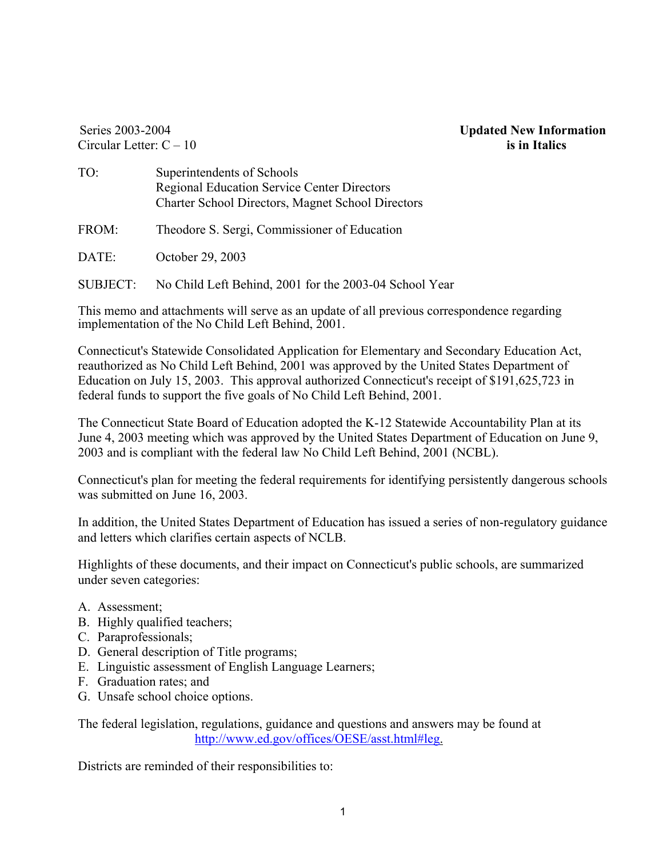Series 2003-2004 Circular Letter: C – 10 **Updated New Information is in Italics** 

- TO: Superintendents of Schools Regional Education Service Center Directors Charter School Directors, Magnet School Directors
- FROM: Theodore S. Sergi, Commissioner of Education
- DATE: October 29, 2003

SUBJECT: No Child Left Behind, 2001 for the 2003-04 School Year

This memo and attachments will serve as an update of all previous correspondence regarding implementation of the No Child Left Behind, 2001.

Connecticut's Statewide Consolidated Application for Elementary and Secondary Education Act, reauthorized as No Child Left Behind, 2001 was approved by the United States Department of Education on July 15, 2003. This approval authorized Connecticut's receipt of \$191,625,723 in federal funds to support the five goals of No Child Left Behind, 2001.

The Connecticut State Board of Education adopted the K-12 Statewide Accountability Plan at its June 4, 2003 meeting which was approved by the United States Department of Education on June 9, 2003 and is compliant with the federal law No Child Left Behind, 2001 (NCBL).

Connecticut's plan for meeting the federal requirements for identifying persistently dangerous schools was submitted on June 16, 2003.

In addition, the United States Department of Education has issued a series of non-regulatory guidance and letters which clarifies certain aspects of NCLB.

Highlights of these documents, and their impact on Connecticut's public schools, are summarized under seven categories:

- A. Assessment;
- B. Highly qualified teachers;
- C. Paraprofessionals;
- D. General description of Title programs;
- E. Linguistic assessment of English Language Learners;
- F. Graduation rates; and
- G. Unsafe school choice options.

The federal legislation, regulations, guidance and questions and answers may be found at http://www.ed.gov/offices/OESE/asst.html#leg.

Districts are reminded of their responsibilities to: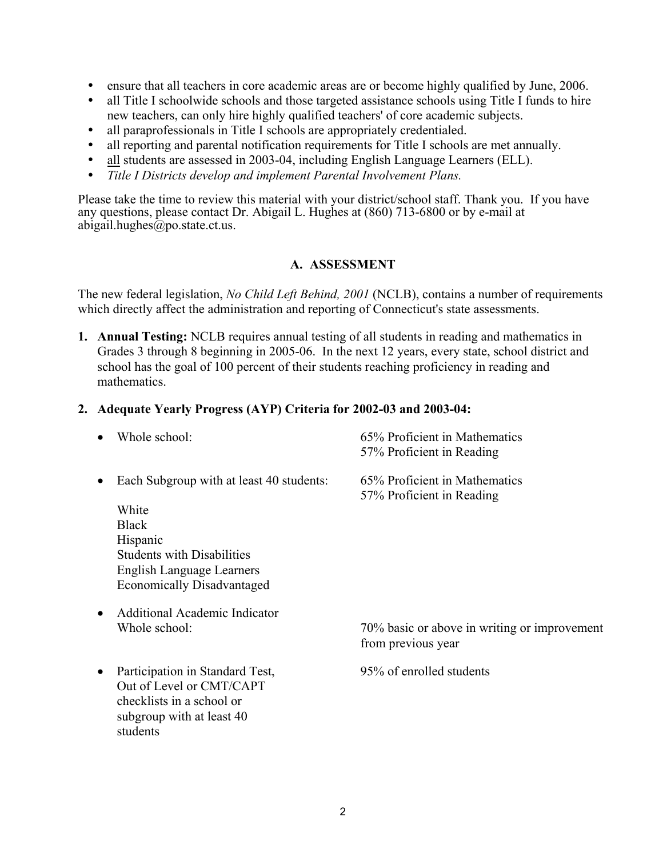- y ensure that all teachers in core academic areas are or become highly qualified by June, 2006.
- all Title I schoolwide schools and those targeted assistance schools using Title I funds to hire new teachers, can only hire highly qualified teachers' of core academic subjects.
- all paraprofessionals in Title I schools are appropriately credentialed.
- all reporting and parental notification requirements for Title I schools are met annually.
- all students are assessed in 2003-04, including English Language Learners (ELL).
- Title I Districts develop and implement Parental Involvement Plans.

Please take the time to review this material with your district/school staff. Thank you. If you have any questions, please contact Dr. Abigail L. Hughes at (860) 713-6800 or by e-mail at abigail.hughes@po.state.ct.us.

### **A. ASSESSMENT**

The new federal legislation, *No Child Left Behind, 2001* (NCLB), contains a number of requirements which directly affect the administration and reporting of Connecticut's state assessments.

**1. Annual Testing:** NCLB requires annual testing of all students in reading and mathematics in Grades 3 through 8 beginning in 2005-06. In the next 12 years, every state, school district and school has the goal of 100 percent of their students reaching proficiency in reading and mathematics.

#### **2. Adequate Yearly Progress (AYP) Criteria for 2002-03 and 2003-04:**

|           | Whole school:                                                                                                                     | 65% Proficient in Mathematics<br>57% Proficient in Reading         |
|-----------|-----------------------------------------------------------------------------------------------------------------------------------|--------------------------------------------------------------------|
| ٠         | Each Subgroup with at least 40 students:<br>White                                                                                 | 65% Proficient in Mathematics<br>57% Proficient in Reading         |
|           | <b>Black</b>                                                                                                                      |                                                                    |
|           | Hispanic                                                                                                                          |                                                                    |
|           | <b>Students with Disabilities</b>                                                                                                 |                                                                    |
|           | English Language Learners                                                                                                         |                                                                    |
|           | <b>Economically Disadvantaged</b>                                                                                                 |                                                                    |
| $\bullet$ | <b>Additional Academic Indicator</b>                                                                                              |                                                                    |
|           | Whole school:                                                                                                                     | 70% basic or above in writing or improvement<br>from previous year |
| $\bullet$ | Participation in Standard Test,<br>Out of Level or CMT/CAPT<br>checklists in a school or<br>subgroup with at least 40<br>students | 95% of enrolled students                                           |
|           |                                                                                                                                   |                                                                    |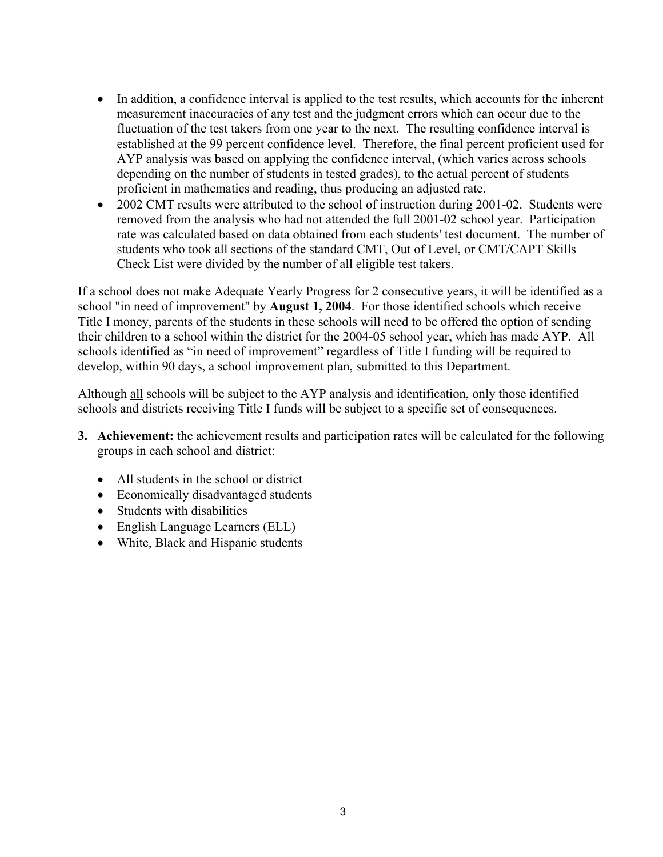- In addition, a confidence interval is applied to the test results, which accounts for the inherent measurement inaccuracies of any test and the judgment errors which can occur due to the fluctuation of the test takers from one year to the next. The resulting confidence interval is established at the 99 percent confidence level. Therefore, the final percent proficient used for AYP analysis was based on applying the confidence interval, (which varies across schools depending on the number of students in tested grades), to the actual percent of students proficient in mathematics and reading, thus producing an adjusted rate.
- 2002 CMT results were attributed to the school of instruction during 2001-02. Students were removed from the analysis who had not attended the full 2001-02 school year. Participation rate was calculated based on data obtained from each students' test document. The number of students who took all sections of the standard CMT, Out of Level, or CMT/CAPT Skills Check List were divided by the number of all eligible test takers.

If a school does not make Adequate Yearly Progress for 2 consecutive years, it will be identified as a school "in need of improvement" by **August 1, 2004**. For those identified schools which receive Title I money, parents of the students in these schools will need to be offered the option of sending their children to a school within the district for the 2004-05 school year, which has made AYP. All schools identified as "in need of improvement" regardless of Title I funding will be required to develop, within 90 days, a school improvement plan, submitted to this Department.

Although all schools will be subject to the AYP analysis and identification, only those identified schools and districts receiving Title I funds will be subject to a specific set of consequences.

- **3. Achievement:** the achievement results and participation rates will be calculated for the following groups in each school and district:
	- All students in the school or district
	- Economically disadvantaged students
	- Students with disabilities
	- English Language Learners (ELL)
	- White, Black and Hispanic students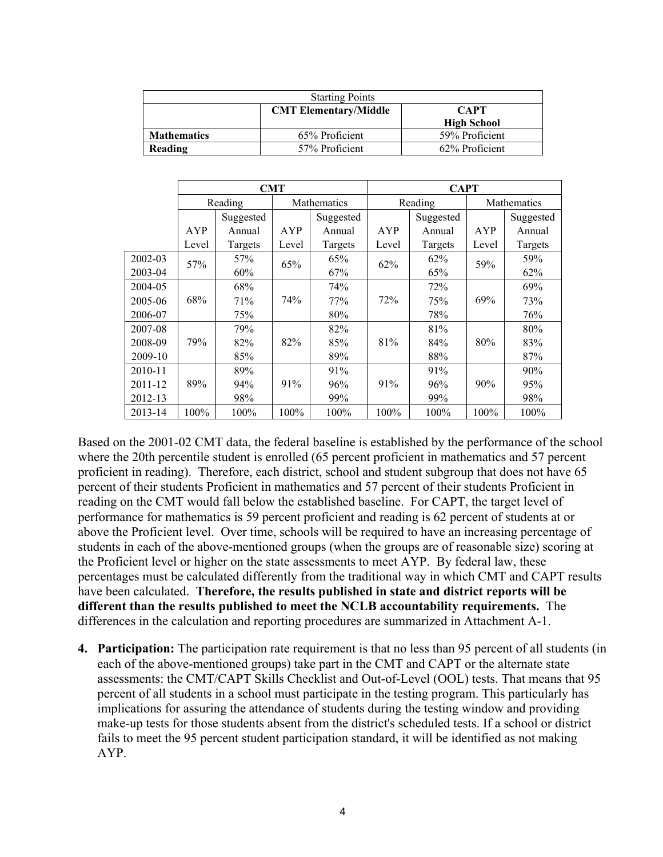| <b>Starting Points</b> |                              |                                   |  |  |  |
|------------------------|------------------------------|-----------------------------------|--|--|--|
|                        | <b>CMT Elementary/Middle</b> | <b>CAPT</b><br><b>High School</b> |  |  |  |
| <b>Mathematics</b>     | 65% Proficient               | 59% Proficient                    |  |  |  |
| Reading                | 57% Proficient               | 62% Proficient                    |  |  |  |

|                | <b>CMT</b> |           |       | <b>CAPT</b> |       |           |       |             |  |
|----------------|------------|-----------|-------|-------------|-------|-----------|-------|-------------|--|
|                |            | Reading   |       | Mathematics |       | Reading   |       | Mathematics |  |
|                |            | Suggested |       | Suggested   |       | Suggested |       | Suggested   |  |
|                | AYP        | Annual    | AYP   | Annual      | AYP   | Annual    | AYP   | Annual      |  |
|                | Level      | Targets   | Level | Targets     | Level | Targets   | Level | Targets     |  |
| 2002-03        |            | 57%       | 65%   | 65%         | 62%   | 62%       | 59%   | 59%         |  |
| 57%<br>2003-04 |            | 60%       |       | 67%         |       | 65%       |       | 62%         |  |
| 2004-05        |            | 68%       |       | 74%         |       | 72%       |       | 69%         |  |
| 2005-06        | 68%        | 71%       | 74%   | 77%         | 72%   | 75%       | 69%   | 73%         |  |
| 2006-07        |            | 75%       |       | 80%         |       | 78%       |       | 76%         |  |
| 2007-08        |            | 79%       |       | 82%         |       | 81%       |       | 80%         |  |
| 2008-09        | 79%        | 82%       | 82%   | 85%         | 81%   | 84%       | 80%   | 83%         |  |
| 2009-10        |            | 85%       |       | 89%         |       | 88%       |       | 87%         |  |
| 2010-11        |            | 89%       |       | 91%         |       | 91%       |       | 90%         |  |
| 2011-12        | 89%        | 94%       | 91%   | 96%         | 91%   | 96%       | 90%   | 95%         |  |
| 2012-13        |            | 98%       |       | 99%         |       | 99%       |       | 98%         |  |
| 2013-14        | 100%       | 100%      | 100%  | 100%        | 100%  | 100%      | 100%  | 100%        |  |

Based on the 2001-02 CMT data, the federal baseline is established by the performance of the school where the 20th percentile student is enrolled (65 percent proficient in mathematics and 57 percent proficient in reading). Therefore, each district, school and student subgroup that does not have 65 percent of their students Proficient in mathematics and 57 percent of their students Proficient in reading on the CMT would fall below the established baseline. For CAPT, the target level of performance for mathematics is 59 percent proficient and reading is 62 percent of students at or above the Proficient level. Over time, schools will be required to have an increasing percentage of students in each of the above-mentioned groups (when the groups are of reasonable size) scoring at the Proficient level or higher on the state assessments to meet AYP. By federal law, these percentages must be calculated differently from the traditional way in which CMT and CAPT results have been calculated. **Therefore, the results published in state and district reports will be different than the results published to meet the NCLB accountability requirements.** The differences in the calculation and reporting procedures are summarized in Attachment A-1.

**4. Participation:** The participation rate requirement is that no less than 95 percent of all students (in each of the above-mentioned groups) take part in the CMT and CAPT or the alternate state assessments: the CMT/CAPT Skills Checklist and Out-of-Level (OOL) tests. That means that 95 percent of all students in a school must participate in the testing program. This particularly has implications for assuring the attendance of students during the testing window and providing make-up tests for those students absent from the district's scheduled tests. If a school or district fails to meet the 95 percent student participation standard, it will be identified as not making AYP.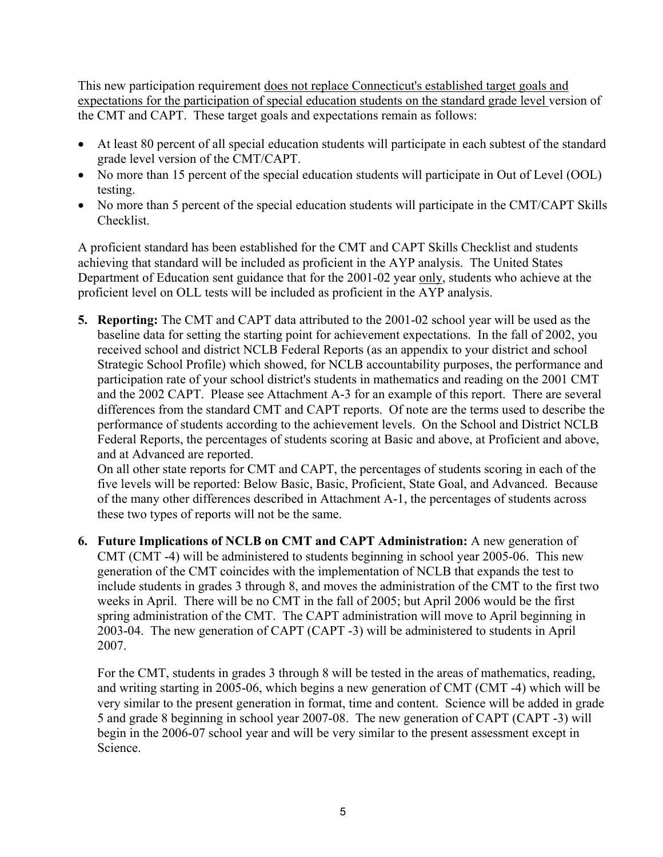This new participation requirement does not replace Connecticut's established target goals and expectations for the participation of special education students on the standard grade level version of the CMT and CAPT. These target goals and expectations remain as follows:

- At least 80 percent of all special education students will participate in each subtest of the standard grade level version of the CMT/CAPT.
- No more than 15 percent of the special education students will participate in Out of Level (OOL) testing.
- No more than 5 percent of the special education students will participate in the CMT/CAPT Skills Checklist.

A proficient standard has been established for the CMT and CAPT Skills Checklist and students achieving that standard will be included as proficient in the AYP analysis. The United States Department of Education sent guidance that for the 2001-02 year only, students who achieve at the proficient level on OLL tests will be included as proficient in the AYP analysis.

**5. Reporting:** The CMT and CAPT data attributed to the 2001-02 school year will be used as the baseline data for setting the starting point for achievement expectations. In the fall of 2002, you received school and district NCLB Federal Reports (as an appendix to your district and school Strategic School Profile) which showed, for NCLB accountability purposes, the performance and participation rate of your school district's students in mathematics and reading on the 2001 CMT and the 2002 CAPT. Please see Attachment A-3 for an example of this report. There are several differences from the standard CMT and CAPT reports. Of note are the terms used to describe the performance of students according to the achievement levels. On the School and District NCLB Federal Reports, the percentages of students scoring at Basic and above, at Proficient and above, and at Advanced are reported.

On all other state reports for CMT and CAPT, the percentages of students scoring in each of the five levels will be reported: Below Basic, Basic, Proficient, State Goal, and Advanced. Because of the many other differences described in Attachment A-1, the percentages of students across these two types of reports will not be the same.

**6. Future Implications of NCLB on CMT and CAPT Administration:** A new generation of CMT (CMT -4) will be administered to students beginning in school year 2005-06. This new generation of the CMT coincides with the implementation of NCLB that expands the test to include students in grades 3 through 8, and moves the administration of the CMT to the first two weeks in April. There will be no CMT in the fall of 2005; but April 2006 would be the first spring administration of the CMT. The CAPT administration will move to April beginning in 2003-04. The new generation of CAPT (CAPT -3) will be administered to students in April 2007.

For the CMT, students in grades 3 through 8 will be tested in the areas of mathematics, reading, and writing starting in 2005-06, which begins a new generation of CMT (CMT -4) which will be very similar to the present generation in format, time and content. Science will be added in grade 5 and grade 8 beginning in school year 2007-08. The new generation of CAPT (CAPT -3) will begin in the 2006-07 school year and will be very similar to the present assessment except in Science.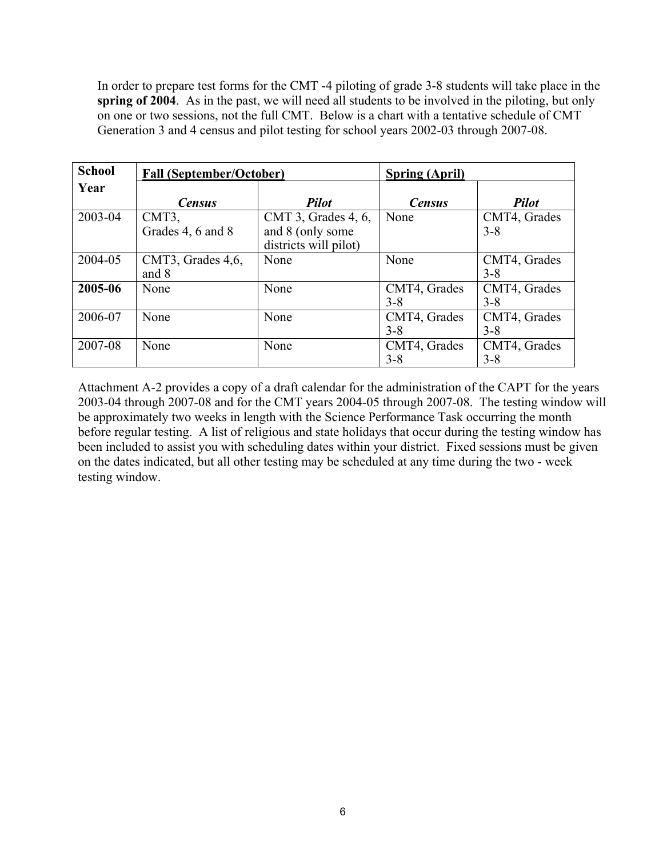In order to prepare test forms for the CMT -4 piloting of grade 3-8 students will take place in the **spring of 2004**. As in the past, we will need all students to be involved in the piloting, but only on one or two sessions, not the full CMT. Below is a chart with a tentative schedule of CMT Generation 3 and 4 census and pilot testing for school years 2002-03 through 2007-08.

| <b>School</b> | <b>Fall (September/October)</b> |                                                                     | <b>Spring (April)</b>   |                         |
|---------------|---------------------------------|---------------------------------------------------------------------|-------------------------|-------------------------|
| Year          | <b>Census</b>                   | <b>Pilot</b>                                                        | <b>Census</b>           | <b>Pilot</b>            |
| 2003-04       | CMT3,<br>Grades 4, 6 and 8      | CMT 3, Grades $4, 6$ ,<br>and 8 (only some<br>districts will pilot) | None                    | CMT4, Grades<br>$3 - 8$ |
| 2004-05       | CMT3, Grades 4,6,<br>and 8      | None                                                                | None                    | CMT4, Grades<br>$3 - 8$ |
| 2005-06       | None                            | None                                                                | CMT4, Grades<br>$3 - 8$ | CMT4, Grades<br>$3 - 8$ |
| 2006-07       | None                            | None                                                                | CMT4, Grades<br>$3 - 8$ | CMT4, Grades<br>$3 - 8$ |
| 2007-08       | None                            | None                                                                | CMT4, Grades<br>$3 - 8$ | CMT4, Grades<br>$3 - 8$ |

Attachment A-2 provides a copy of a draft calendar for the administration of the CAPT for the years 2003-04 through 2007-08 and for the CMT years 2004-05 through 2007-08. The testing window will be approximately two weeks in length with the Science Performance Task occurring the month before regular testing. A list of religious and state holidays that occur during the testing window has been included to assist you with scheduling dates within your district. Fixed sessions must be given on the dates indicated, but all other testing may be scheduled at any time during the two - week testing window.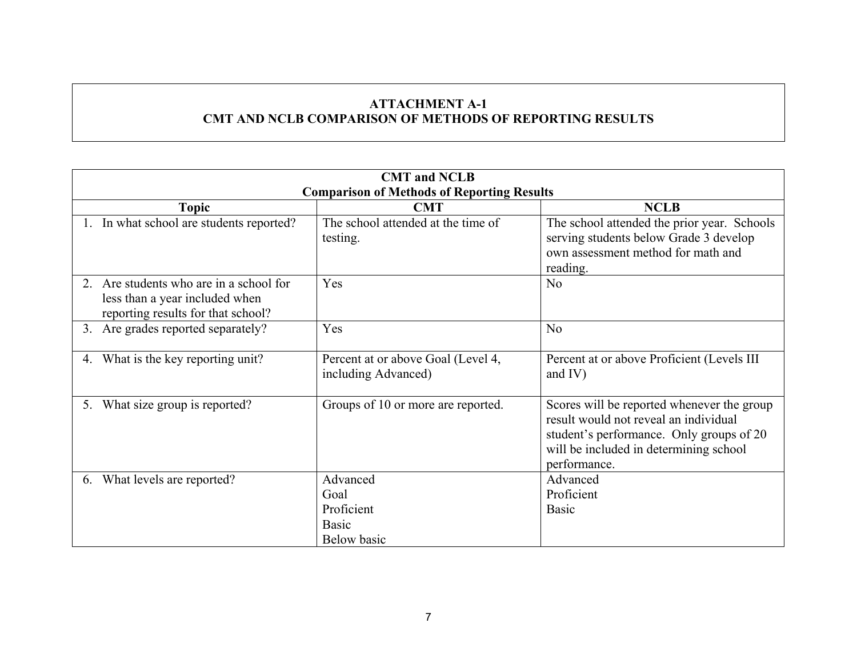# **ATTACHMENT A-1 CMT AND NCLB COMPARISON OF METHODS OF REPORTING RESULTS**

| <b>CMT</b> and <b>NCLB</b>                                                                                   |                                                                      |                                                                                                                                                                                           |  |  |  |  |
|--------------------------------------------------------------------------------------------------------------|----------------------------------------------------------------------|-------------------------------------------------------------------------------------------------------------------------------------------------------------------------------------------|--|--|--|--|
|                                                                                                              | <b>Comparison of Methods of Reporting Results</b>                    |                                                                                                                                                                                           |  |  |  |  |
| <b>Topic</b>                                                                                                 | <b>CMT</b>                                                           | <b>NCLB</b>                                                                                                                                                                               |  |  |  |  |
| 1. In what school are students reported?                                                                     | The school attended at the time of<br>testing.                       | The school attended the prior year. Schools<br>serving students below Grade 3 develop<br>own assessment method for math and<br>reading.                                                   |  |  |  |  |
| Are students who are in a school for<br>less than a year included when<br>reporting results for that school? | Yes                                                                  | N <sub>0</sub>                                                                                                                                                                            |  |  |  |  |
| 3. Are grades reported separately?                                                                           | Yes                                                                  | N <sub>0</sub>                                                                                                                                                                            |  |  |  |  |
| What is the key reporting unit?<br>4.                                                                        | Percent at or above Goal (Level 4,<br>including Advanced)            | Percent at or above Proficient (Levels III<br>and $IV$ )                                                                                                                                  |  |  |  |  |
| What size group is reported?<br>5.                                                                           | Groups of 10 or more are reported.                                   | Scores will be reported whenever the group<br>result would not reveal an individual<br>student's performance. Only groups of 20<br>will be included in determining school<br>performance. |  |  |  |  |
| What levels are reported?<br>6.                                                                              | Advanced<br>Goal<br>Proficient<br><b>Basic</b><br><b>Below</b> basic | Advanced<br>Proficient<br><b>Basic</b>                                                                                                                                                    |  |  |  |  |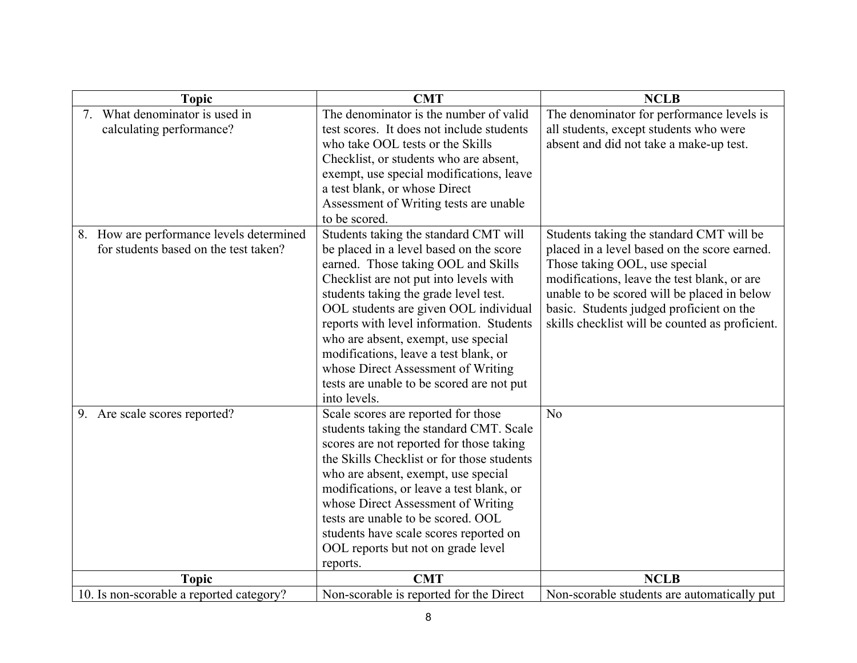| <b>Topic</b>                             | <b>CMT</b>                                                                     | <b>NCLB</b>                                                                             |
|------------------------------------------|--------------------------------------------------------------------------------|-----------------------------------------------------------------------------------------|
| 7. What denominator is used in           | The denominator is the number of valid                                         | The denominator for performance levels is                                               |
| calculating performance?                 | test scores. It does not include students                                      | all students, except students who were                                                  |
|                                          | who take OOL tests or the Skills                                               | absent and did not take a make-up test.                                                 |
|                                          | Checklist, or students who are absent,                                         |                                                                                         |
|                                          | exempt, use special modifications, leave                                       |                                                                                         |
|                                          | a test blank, or whose Direct                                                  |                                                                                         |
|                                          | Assessment of Writing tests are unable                                         |                                                                                         |
|                                          | to be scored.                                                                  |                                                                                         |
| 8. How are performance levels determined | Students taking the standard CMT will                                          | Students taking the standard CMT will be                                                |
| for students based on the test taken?    | be placed in a level based on the score                                        | placed in a level based on the score earned.                                            |
|                                          | earned. Those taking OOL and Skills                                            | Those taking OOL, use special                                                           |
|                                          | Checklist are not put into levels with                                         | modifications, leave the test blank, or are                                             |
|                                          | students taking the grade level test.<br>OOL students are given OOL individual | unable to be scored will be placed in below<br>basic. Students judged proficient on the |
|                                          | reports with level information. Students                                       | skills checklist will be counted as proficient.                                         |
|                                          | who are absent, exempt, use special                                            |                                                                                         |
|                                          | modifications, leave a test blank, or                                          |                                                                                         |
|                                          | whose Direct Assessment of Writing                                             |                                                                                         |
|                                          | tests are unable to be scored are not put                                      |                                                                                         |
|                                          | into levels.                                                                   |                                                                                         |
| 9. Are scale scores reported?            | Scale scores are reported for those                                            | N <sub>0</sub>                                                                          |
|                                          | students taking the standard CMT. Scale                                        |                                                                                         |
|                                          | scores are not reported for those taking                                       |                                                                                         |
|                                          | the Skills Checklist or for those students                                     |                                                                                         |
|                                          | who are absent, exempt, use special                                            |                                                                                         |
|                                          | modifications, or leave a test blank, or                                       |                                                                                         |
|                                          | whose Direct Assessment of Writing                                             |                                                                                         |
|                                          | tests are unable to be scored. OOL                                             |                                                                                         |
|                                          | students have scale scores reported on                                         |                                                                                         |
|                                          | OOL reports but not on grade level                                             |                                                                                         |
|                                          | reports.                                                                       |                                                                                         |
| <b>Topic</b>                             | <b>CMT</b>                                                                     | <b>NCLB</b>                                                                             |
| 10. Is non-scorable a reported category? | Non-scorable is reported for the Direct                                        | Non-scorable students are automatically put                                             |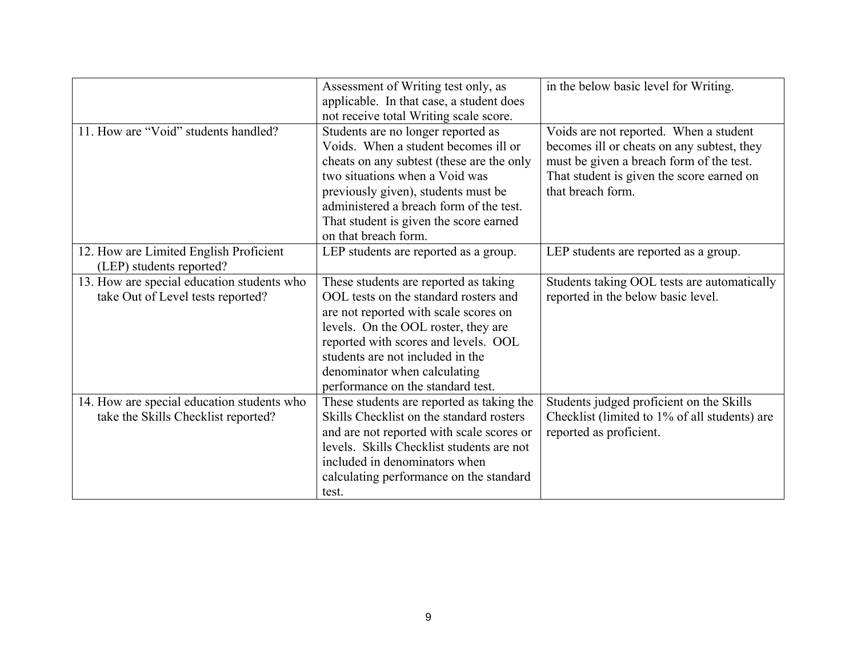|                                                                                   | Assessment of Writing test only, as<br>applicable. In that case, a student does<br>not receive total Writing scale score.                                                                                                                                                                                       | in the below basic level for Writing.                                                                                                                                                              |
|-----------------------------------------------------------------------------------|-----------------------------------------------------------------------------------------------------------------------------------------------------------------------------------------------------------------------------------------------------------------------------------------------------------------|----------------------------------------------------------------------------------------------------------------------------------------------------------------------------------------------------|
| 11. How are "Void" students handled?                                              | Students are no longer reported as<br>Voids. When a student becomes ill or<br>cheats on any subtest (these are the only<br>two situations when a Void was<br>previously given), students must be<br>administered a breach form of the test.<br>That student is given the score earned<br>on that breach form.   | Voids are not reported. When a student<br>becomes ill or cheats on any subtest, they<br>must be given a breach form of the test.<br>That student is given the score earned on<br>that breach form. |
| 12. How are Limited English Proficient<br>(LEP) students reported?                | LEP students are reported as a group.                                                                                                                                                                                                                                                                           | LEP students are reported as a group.                                                                                                                                                              |
| 13. How are special education students who<br>take Out of Level tests reported?   | These students are reported as taking<br>OOL tests on the standard rosters and<br>are not reported with scale scores on<br>levels. On the OOL roster, they are<br>reported with scores and levels. OOL<br>students are not included in the<br>denominator when calculating<br>performance on the standard test. | Students taking OOL tests are automatically<br>reported in the below basic level.                                                                                                                  |
| 14. How are special education students who<br>take the Skills Checklist reported? | These students are reported as taking the<br>Skills Checklist on the standard rosters<br>and are not reported with scale scores or<br>levels. Skills Checklist students are not<br>included in denominators when<br>calculating performance on the standard<br>test.                                            | Students judged proficient on the Skills<br>Checklist (limited to 1% of all students) are<br>reported as proficient.                                                                               |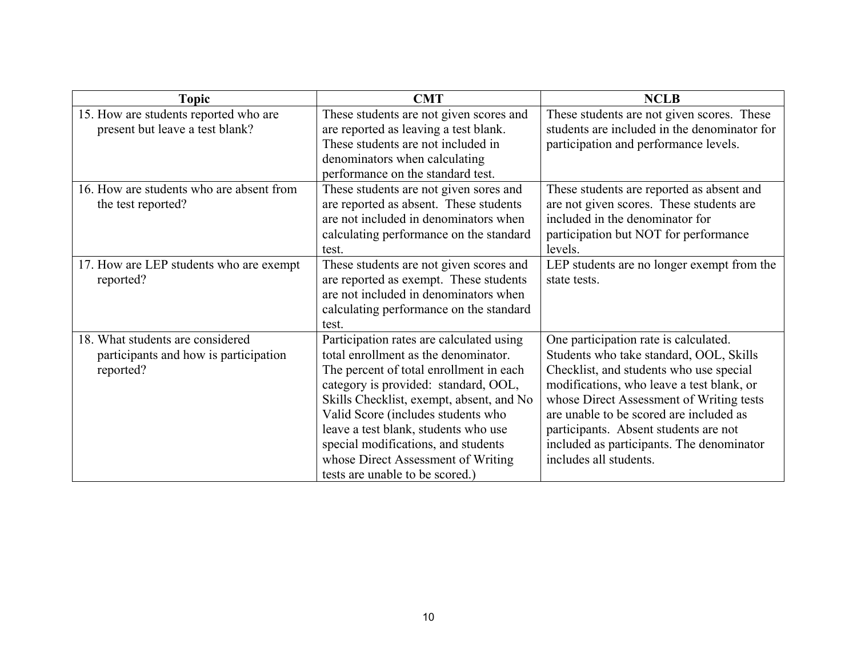| Topic                                                                                  | <b>CMT</b>                                                                                                                                                                                                                                                                                                                                                                                                    | <b>NCLB</b>                                                                                                                                                                                                                                                                                                                                                                     |
|----------------------------------------------------------------------------------------|---------------------------------------------------------------------------------------------------------------------------------------------------------------------------------------------------------------------------------------------------------------------------------------------------------------------------------------------------------------------------------------------------------------|---------------------------------------------------------------------------------------------------------------------------------------------------------------------------------------------------------------------------------------------------------------------------------------------------------------------------------------------------------------------------------|
| 15. How are students reported who are<br>present but leave a test blank?               | These students are not given scores and<br>are reported as leaving a test blank.<br>These students are not included in<br>denominators when calculating<br>performance on the standard test.                                                                                                                                                                                                                  | These students are not given scores. These<br>students are included in the denominator for<br>participation and performance levels.                                                                                                                                                                                                                                             |
| 16. How are students who are absent from<br>the test reported?                         | These students are not given sores and<br>are reported as absent. These students<br>are not included in denominators when<br>calculating performance on the standard<br>test.                                                                                                                                                                                                                                 | These students are reported as absent and<br>are not given scores. These students are<br>included in the denominator for<br>participation but NOT for performance<br>levels.                                                                                                                                                                                                    |
| 17. How are LEP students who are exempt<br>reported?                                   | These students are not given scores and<br>are reported as exempt. These students<br>are not included in denominators when<br>calculating performance on the standard<br>test.                                                                                                                                                                                                                                | LEP students are no longer exempt from the<br>state tests.                                                                                                                                                                                                                                                                                                                      |
| 18. What students are considered<br>participants and how is participation<br>reported? | Participation rates are calculated using<br>total enrollment as the denominator.<br>The percent of total enrollment in each<br>category is provided: standard, OOL,<br>Skills Checklist, exempt, absent, and No<br>Valid Score (includes students who<br>leave a test blank, students who use<br>special modifications, and students<br>whose Direct Assessment of Writing<br>tests are unable to be scored.) | One participation rate is calculated.<br>Students who take standard, OOL, Skills<br>Checklist, and students who use special<br>modifications, who leave a test blank, or<br>whose Direct Assessment of Writing tests<br>are unable to be scored are included as<br>participants. Absent students are not<br>included as participants. The denominator<br>includes all students. |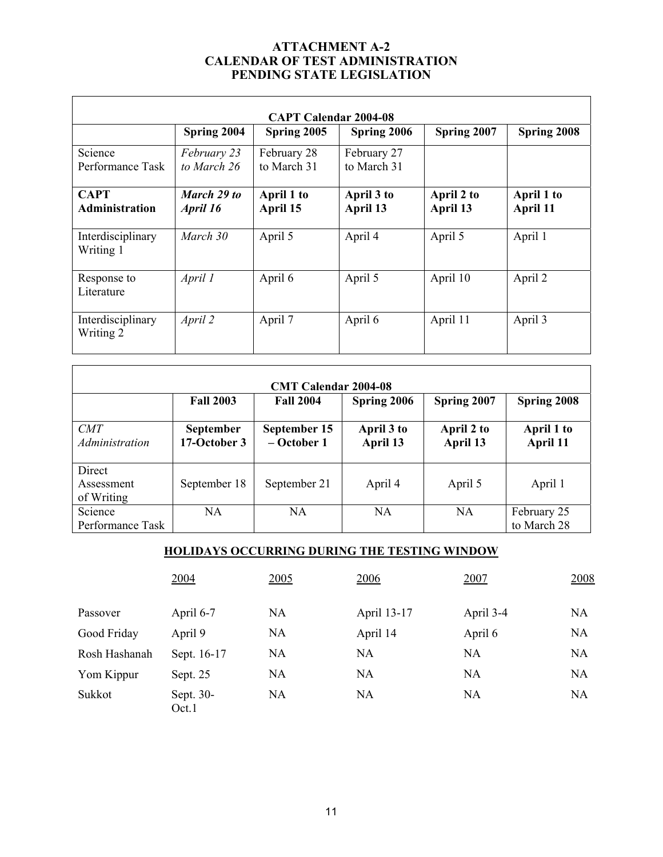#### **ATTACHMENT A-2 CALENDAR OF TEST ADMINISTRATION PENDING STATE LEGISLATION**

| <b>CAPT Calendar 2004-08</b>         |                            |                            |                            |                        |                        |  |
|--------------------------------------|----------------------------|----------------------------|----------------------------|------------------------|------------------------|--|
|                                      | Spring 2004                | Spring 2005                | Spring 2006                | Spring 2007            | Spring 2008            |  |
| Science<br>Performance Task          | February 23<br>to March 26 | February 28<br>to March 31 | February 27<br>to March 31 |                        |                        |  |
| <b>CAPT</b><br><b>Administration</b> | March 29 to<br>April 16    | April 1 to<br>April 15     | April 3 to<br>April 13     | April 2 to<br>April 13 | April 1 to<br>April 11 |  |
| Interdisciplinary<br>Writing 1       | March 30                   | April 5                    | April 4                    | April 5                | April 1                |  |
| Response to<br>Literature            | April 1                    | April 6                    | April 5                    | April 10               | April 2                |  |
| Interdisciplinary<br>Writing 2       | April 2                    | April 7                    | April 6                    | April 11               | April 3                |  |

| <b>CMT Calendar 2004-08</b>        |                                  |                               |                        |                        |                            |  |
|------------------------------------|----------------------------------|-------------------------------|------------------------|------------------------|----------------------------|--|
|                                    | <b>Fall 2003</b>                 | <b>Fall 2004</b>              | Spring 2006            | Spring 2007            | Spring 2008                |  |
| CMT<br>Administration              | <b>September</b><br>17-October 3 | September 15<br>$-$ October 1 | April 3 to<br>April 13 | April 2 to<br>April 13 | April 1 to<br>April 11     |  |
| Direct<br>Assessment<br>of Writing | September 18                     | September 21                  | April 4                | April 5                | April 1                    |  |
| Science<br>Performance Task        | NA.                              | <b>NA</b>                     | <b>NA</b>              | <b>NA</b>              | February 25<br>to March 28 |  |

# **HOLIDAYS OCCURRING DURING THE TESTING WINDOW**

|               | 2004               | 2005      | <u>2006</u> | 2007      | 2008 |
|---------------|--------------------|-----------|-------------|-----------|------|
| Passover      | April 6-7          | <b>NA</b> | April 13-17 | April 3-4 | NA   |
| Good Friday   | April 9            | <b>NA</b> | April 14    | April 6   | NA   |
| Rosh Hashanah | Sept. 16-17        | NA        | <b>NA</b>   | NA        | NA   |
| Yom Kippur    | Sept. 25           | <b>NA</b> | NA          | NA        | NA   |
| Sukkot        | Sept. 30-<br>Oct.1 | NA        | NA          | NA        | NA   |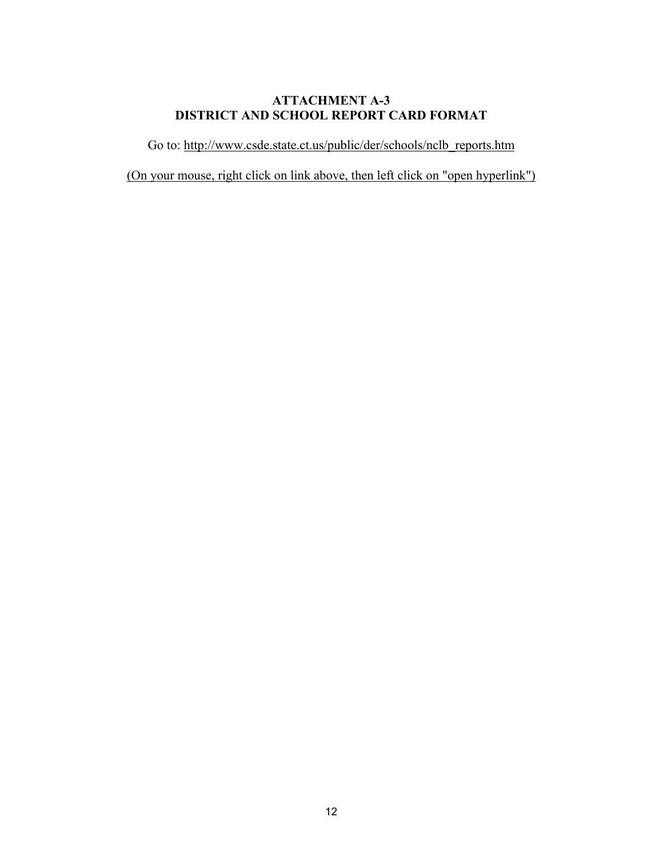### **ATTACHMENT A-3 DISTRICT AND SCHOOL REPORT CARD FORMAT**

Go to: http://www.csde.state.ct.us/public/der/schools/nclb\_reports.htm

(On your mouse, right click on link above, then left click on "open hyperlink")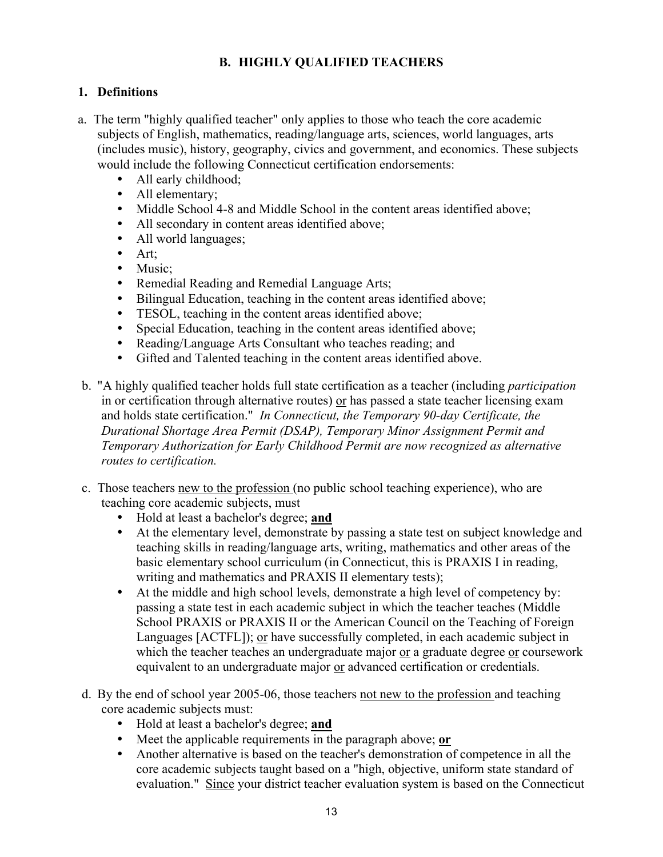# **B. HIGHLY QUALIFIED TEACHERS**

### **1. Definitions**

- a. The term "highly qualified teacher" only applies to those who teach the core academic subjects of English, mathematics, reading/language arts, sciences, world languages, arts (includes music), history, geography, civics and government, and economics. These subjects would include the following Connecticut certification endorsements:
	- All early childhood;
	- All elementary;
	- Middle School 4-8 and Middle School in the content areas identified above;
	- All secondary in content areas identified above;
	- All world languages;
	- $\bullet$  Art;
	- Music;
	- Remedial Reading and Remedial Language Arts;
	- Bilingual Education, teaching in the content areas identified above;
	- TESOL, teaching in the content areas identified above;
	- Special Education, teaching in the content areas identified above:
	- Reading/Language Arts Consultant who teaches reading; and
	- Gifted and Talented teaching in the content areas identified above.
- b. "A highly qualified teacher holds full state certification as a teacher (including *participation*  in or certification through alternative routes) or has passed a state teacher licensing exam and holds state certification." *In Connecticut, the Temporary 90-day Certificate, the Durational Shortage Area Permit (DSAP), Temporary Minor Assignment Permit and Temporary Authorization for Early Childhood Permit are now recognized as alternative routes to certification.*
- c. Those teachers new to the profession (no public school teaching experience), who are teaching core academic subjects, must
	- y Hold at least a bachelor's degree; **and**
	- At the elementary level, demonstrate by passing a state test on subject knowledge and teaching skills in reading/language arts, writing, mathematics and other areas of the basic elementary school curriculum (in Connecticut, this is PRAXIS I in reading, writing and mathematics and PRAXIS II elementary tests);
	- At the middle and high school levels, demonstrate a high level of competency by: passing a state test in each academic subject in which the teacher teaches (Middle School PRAXIS or PRAXIS II or the American Council on the Teaching of Foreign Languages [ACTFL]); or have successfully completed, in each academic subject in which the teacher teaches an undergraduate major or a graduate degree or coursework equivalent to an undergraduate major or advanced certification or credentials.
- d. By the end of school year 2005-06, those teachers not new to the profession and teaching core academic subjects must:
	- y Hold at least a bachelor's degree; **and**
	- Meet the applicable requirements in the paragraph above; **or**
	- Another alternative is based on the teacher's demonstration of competence in all the core academic subjects taught based on a "high, objective, uniform state standard of evaluation." Since your district teacher evaluation system is based on the Connecticut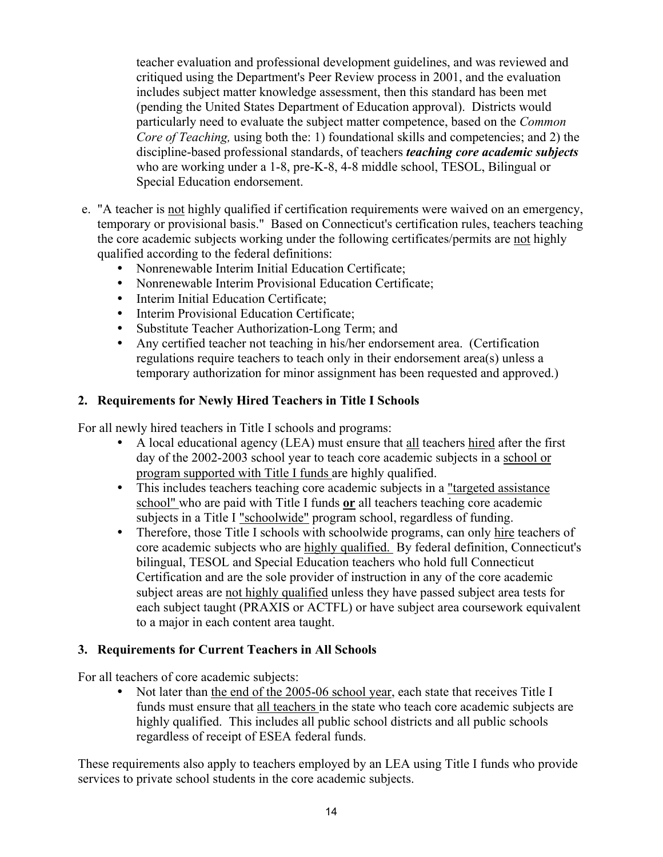teacher evaluation and professional development guidelines, and was reviewed and critiqued using the Department's Peer Review process in 2001, and the evaluation includes subject matter knowledge assessment, then this standard has been met (pending the United States Department of Education approval). Districts would particularly need to evaluate the subject matter competence, based on the *Common Core of Teaching, using both the: 1) foundational skills and competencies; and 2) the* discipline-based professional standards, of teachers *teaching core academic subjects*  who are working under a 1-8, pre-K-8, 4-8 middle school, TESOL, Bilingual or Special Education endorsement.

- e. "A teacher is not highly qualified if certification requirements were waived on an emergency, temporary or provisional basis." Based on Connecticut's certification rules, teachers teaching the core academic subjects working under the following certificates/permits are not highly qualified according to the federal definitions:
	- Nonrenewable Interim Initial Education Certificate;
	- Nonrenewable Interim Provisional Education Certificate;
	- Interim Initial Education Certificate;
	- Interim Provisional Education Certificate;
	- Substitute Teacher Authorization-Long Term; and
	- Any certified teacher not teaching in his/her endorsement area. (Certification regulations require teachers to teach only in their endorsement area(s) unless a temporary authorization for minor assignment has been requested and approved.)

### **2. Requirements for Newly Hired Teachers in Title I Schools**

For all newly hired teachers in Title I schools and programs:

- A local educational agency (LEA) must ensure that all teachers hired after the first day of the 2002-2003 school year to teach core academic subjects in a school or program supported with Title I funds are highly qualified.
- This includes teachers teaching core academic subjects in a <u>"targeted assistance</u> school" who are paid with Title I funds **or** all teachers teaching core academic subjects in a Title I "schoolwide" program school, regardless of funding.
- Therefore, those Title I schools with schoolwide programs, can only hire teachers of core academic subjects who are highly qualified. By federal definition, Connecticut's bilingual, TESOL and Special Education teachers who hold full Connecticut Certification and are the sole provider of instruction in any of the core academic subject areas are not highly qualified unless they have passed subject area tests for each subject taught (PRAXIS or ACTFL) or have subject area coursework equivalent to a major in each content area taught.

### **3. Requirements for Current Teachers in All Schools**

For all teachers of core academic subjects:

• Not later than the end of the 2005-06 school year, each state that receives Title I funds must ensure that all teachers in the state who teach core academic subjects are highly qualified. This includes all public school districts and all public schools regardless of receipt of ESEA federal funds.

These requirements also apply to teachers employed by an LEA using Title I funds who provide services to private school students in the core academic subjects.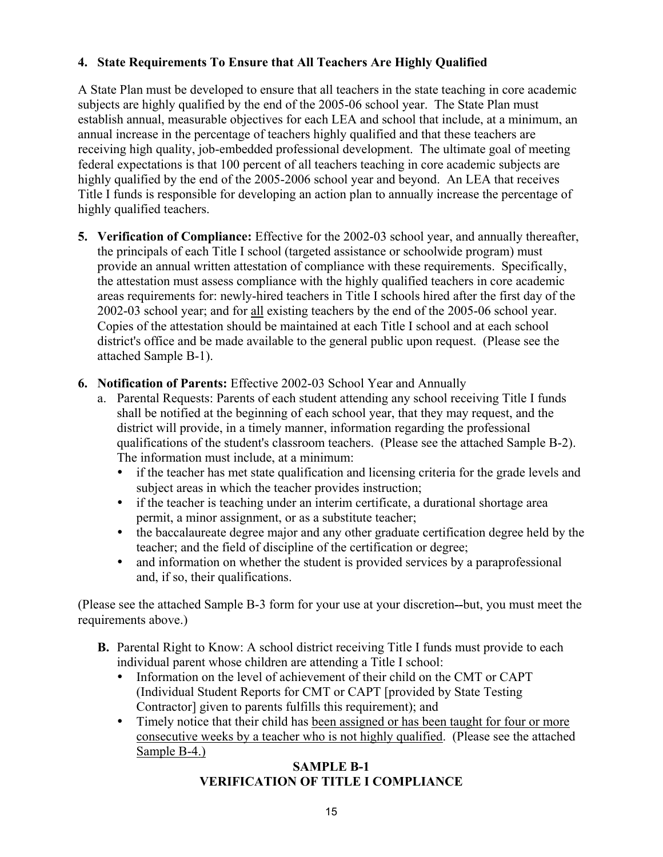# **4. State Requirements To Ensure that All Teachers Are Highly Qualified**

A State Plan must be developed to ensure that all teachers in the state teaching in core academic subjects are highly qualified by the end of the 2005-06 school year. The State Plan must establish annual, measurable objectives for each LEA and school that include, at a minimum, an annual increase in the percentage of teachers highly qualified and that these teachers are receiving high quality, job-embedded professional development. The ultimate goal of meeting federal expectations is that 100 percent of all teachers teaching in core academic subjects are highly qualified by the end of the 2005-2006 school year and beyond. An LEA that receives Title I funds is responsible for developing an action plan to annually increase the percentage of highly qualified teachers.

- **5. Verification of Compliance:** Effective for the 2002-03 school year, and annually thereafter, the principals of each Title I school (targeted assistance or schoolwide program) must provide an annual written attestation of compliance with these requirements. Specifically, the attestation must assess compliance with the highly qualified teachers in core academic areas requirements for: newly-hired teachers in Title I schools hired after the first day of the 2002-03 school year; and for all existing teachers by the end of the 2005-06 school year. Copies of the attestation should be maintained at each Title I school and at each school district's office and be made available to the general public upon request. (Please see the attached Sample B-1).
- **6. Notification of Parents:** Effective 2002-03 School Year and Annually
	- a. Parental Requests: Parents of each student attending any school receiving Title I funds shall be notified at the beginning of each school year, that they may request, and the district will provide, in a timely manner, information regarding the professional qualifications of the student's classroom teachers. (Please see the attached Sample B-2). The information must include, at a minimum:
		- if the teacher has met state qualification and licensing criteria for the grade levels and subject areas in which the teacher provides instruction;
		- if the teacher is teaching under an interim certificate, a durational shortage area permit, a minor assignment, or as a substitute teacher;
		- the baccalaureate degree major and any other graduate certification degree held by the teacher; and the field of discipline of the certification or degree;
		- and information on whether the student is provided services by a paraprofessional and, if so, their qualifications.

(Please see the attached Sample B-3 form for your use at your discretion--but, you must meet the requirements above.)

- **B.** Parental Right to Know: A school district receiving Title I funds must provide to each individual parent whose children are attending a Title I school:
	- Information on the level of achievement of their child on the CMT or CAPT (Individual Student Reports for CMT or CAPT [provided by State Testing Contractor] given to parents fulfills this requirement); and
	- Timely notice that their child has been assigned or has been taught for four or more consecutive weeks by a teacher who is not highly qualified. (Please see the attached Sample B-4.)

### **SAMPLE B-1 VERIFICATION OF TITLE I COMPLIANCE**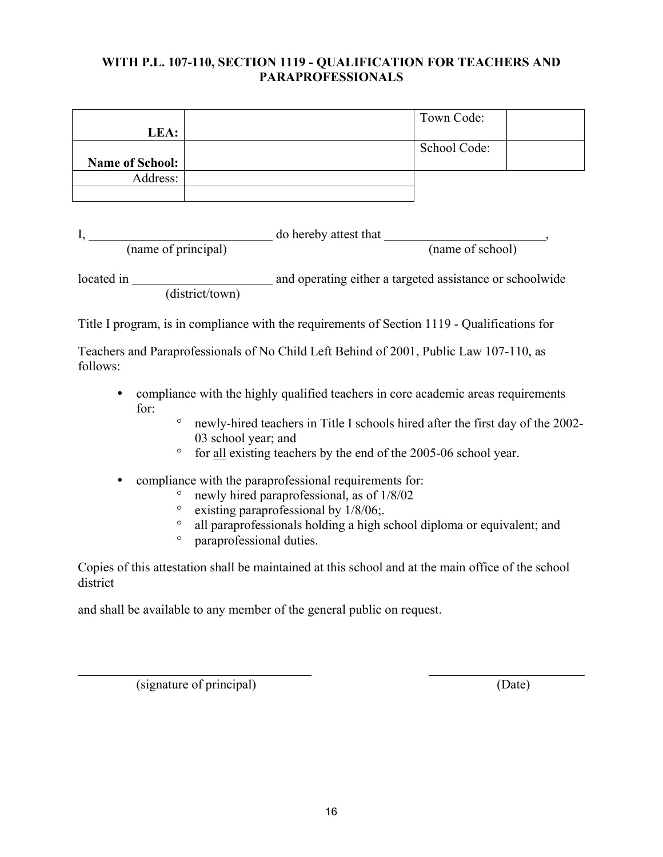### **WITH P.L. 107-110, SECTION 1119 - QUALIFICATION FOR TEACHERS AND PARAPROFESSIONALS**

|                 | Town Code:   |
|-----------------|--------------|
| LEA:            |              |
|                 | School Code: |
| Name of School: |              |
| Address:        |              |
|                 |              |

I, do hereby attest that  $\frac{1}{1}$ ,  $\frac{1}{1}$ ,  $\frac{1}{1}$ ,  $\frac{1}{1}$ ,  $\frac{1}{1}$ ,  $\frac{1}{1}$ ,  $\frac{1}{1}$ ,  $\frac{1}{1}$ ,  $\frac{1}{1}$ ,  $\frac{1}{1}$ ,  $\frac{1}{1}$ ,  $\frac{1}{1}$ ,  $\frac{1}{1}$ ,  $\frac{1}{1}$ ,  $\frac{1}{1}$ ,  $\frac{1}{1}$ ,  $\frac{1}{1}$ ,  $\frac{1}{1}$ , (name of principal) (name of school)

located in and operating either a targeted assistance or schoolwide (district/town)

Title I program, is in compliance with the requirements of Section 1119 - Qualifications for

Teachers and Paraprofessionals of No Child Left Behind of 2001, Public Law 107-110, as follows:

- compliance with the highly qualified teachers in core academic areas requirements for:
	- º newly-hired teachers in Title I schools hired after the first day of the 2002- 03 school year; and
	- º for all existing teachers by the end of the 2005-06 school year.
- compliance with the paraprofessional requirements for:
	- newly hired paraprofessional, as of  $1/8/02$ <br>• existing paraprofessional by  $1/8/06$
	- existing paraprofessional by  $1/8/06$ ;<br>• all paraprofessionals holding a high s
	- <sup>o</sup> all paraprofessionals holding a high school diploma or equivalent; and <br><sup>o</sup> naraprofessional duties
	- paraprofessional duties.

Copies of this attestation shall be maintained at this school and at the main office of the school district

and shall be available to any member of the general public on request.

(signature of principal) (Date)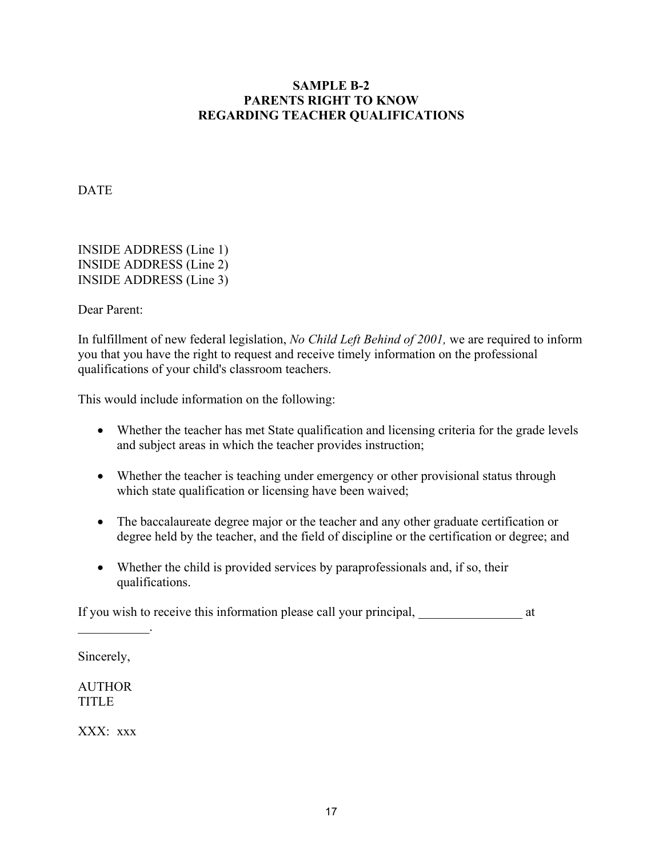### **SAMPLE B-2 PARENTS RIGHT TO KNOW REGARDING TEACHER QUALIFICATIONS**

DATE

INSIDE ADDRESS (Line 1) INSIDE ADDRESS (Line 2) INSIDE ADDRESS (Line 3)

Dear Parent:

In fulfillment of new federal legislation, *No Child Left Behind of 2001,* we are required to inform you that you have the right to request and receive timely information on the professional qualifications of your child's classroom teachers.

This would include information on the following:

- Whether the teacher has met State qualification and licensing criteria for the grade levels and subject areas in which the teacher provides instruction;
- Whether the teacher is teaching under emergency or other provisional status through which state qualification or licensing have been waived;
- The baccalaureate degree major or the teacher and any other graduate certification or degree held by the teacher, and the field of discipline or the certification or degree; and
- Whether the child is provided services by paraprofessionals and, if so, their qualifications.

If you wish to receive this information please call your principal,  $\alpha$  at

Sincerely,

 $\mathcal{L}=\mathcal{L}^{\mathcal{L}}$ 

**AUTHOR** TITLE

XXX: xxx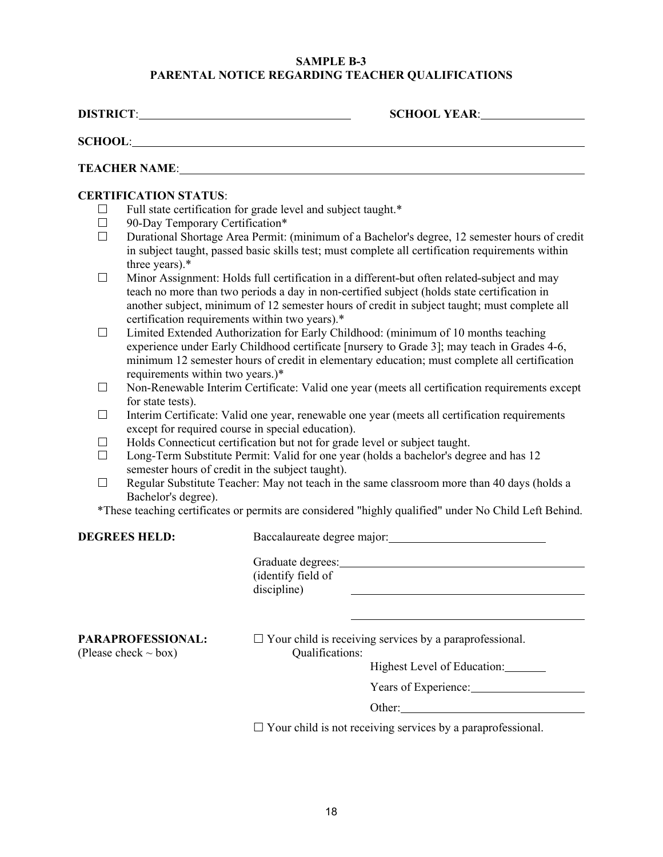#### **SAMPLE B-3 PARENTAL NOTICE REGARDING TEACHER QUALIFICATIONS**

**DISTRICT**: **SCHOOL YEAR**: **SCHOOL**: **TEACHER NAME**: **CERTIFICATION STATUS**:  $\Box$  Full state certification for grade level and subject taught.\*  $\Box$  90-Day Temporary Certification\* Durational Shortage Area Permit: (minimum of a Bachelor's degree, 12 semester hours of credit in subject taught, passed basic skills test; must complete all certification requirements within three years).\*  $\Box$  Minor Assignment: Holds full certification in a different-but often related-subject and may teach no more than two periods a day in non-certified subject (holds state certification in another subject, minimum of 12 semester hours of credit in subject taught; must complete all certification requirements within two years).\* □ Limited Extended Authorization for Early Childhood: (minimum of 10 months teaching experience under Early Childhood certificate [nursery to Grade 3]; may teach in Grades 4-6, minimum 12 semester hours of credit in elementary education; must complete all certification requirements within two years.)\*  $\Box$  Non-Renewable Interim Certificate: Valid one year (meets all certification requirements except

- for state tests).
- $\Box$  Interim Certificate: Valid one year, renewable one year (meets all certification requirements except for required course in special education).
- $\Box$  Holds Connecticut certification but not for grade level or subject taught.
- $\Box$  Long-Term Substitute Permit: Valid for one year (holds a bachelor's degree and has 12 semester hours of credit in the subject taught).
- $\Box$  Regular Substitute Teacher: May not teach in the same classroom more than 40 days (holds a Bachelor's degree).

\*These teaching certificates or permits are considered "highly qualified" under No Child Left Behind.

**DEGREES HELD:** Baccalaureate degree major:

| Graduate degrees:  |  |
|--------------------|--|
| (identify field of |  |
| discipline)        |  |

 $(Please check ~ box)$  Qualifications:

**PARAPROFESSIONAL:**  $\Box$  Your child is receiving services by a paraprofessional.

Highest Level of Education:

Years of Experience:

Other:

 $\Box$  Your child is not receiving services by a paraprofessional.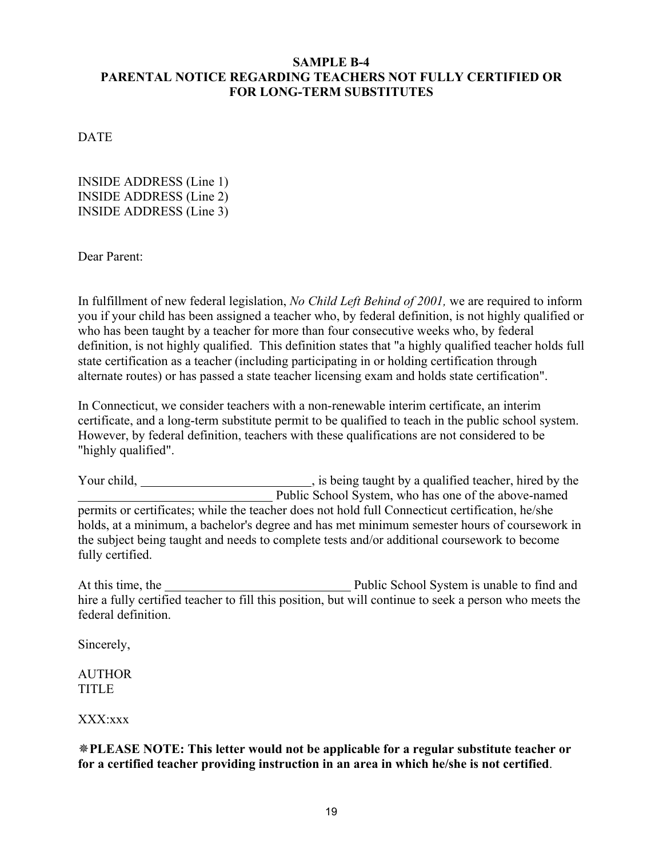### **SAMPLE B-4 PARENTAL NOTICE REGARDING TEACHERS NOT FULLY CERTIFIED OR FOR LONG-TERM SUBSTITUTES**

**DATE** 

INSIDE ADDRESS (Line 1) INSIDE ADDRESS (Line 2) INSIDE ADDRESS (Line 3)

Dear Parent:

In fulfillment of new federal legislation, *No Child Left Behind of 2001,* we are required to inform you if your child has been assigned a teacher who, by federal definition, is not highly qualified or who has been taught by a teacher for more than four consecutive weeks who, by federal definition, is not highly qualified. This definition states that "a highly qualified teacher holds full state certification as a teacher (including participating in or holding certification through alternate routes) or has passed a state teacher licensing exam and holds state certification".

In Connecticut, we consider teachers with a non-renewable interim certificate, an interim certificate, and a long-term substitute permit to be qualified to teach in the public school system. However, by federal definition, teachers with these qualifications are not considered to be "highly qualified".

Your child, <u>\_\_\_\_\_\_\_\_\_\_\_\_\_\_\_\_\_\_\_\_\_</u>, is being taught by a qualified teacher, hired by the Public School System, who has one of the above-named permits or certificates; while the teacher does not hold full Connecticut certification, he/she holds, at a minimum, a bachelor's degree and has met minimum semester hours of coursework in the subject being taught and needs to complete tests and/or additional coursework to become fully certified.

At this time, the Public School System is unable to find and hire a fully certified teacher to fill this position, but will continue to seek a person who meets the federal definition.

Sincerely,

AUTHOR TITLE

XXX:xxx

**PLEASE NOTE: This letter would not be applicable for a regular substitute teacher or for a certified teacher providing instruction in an area in which he/she is not certified**.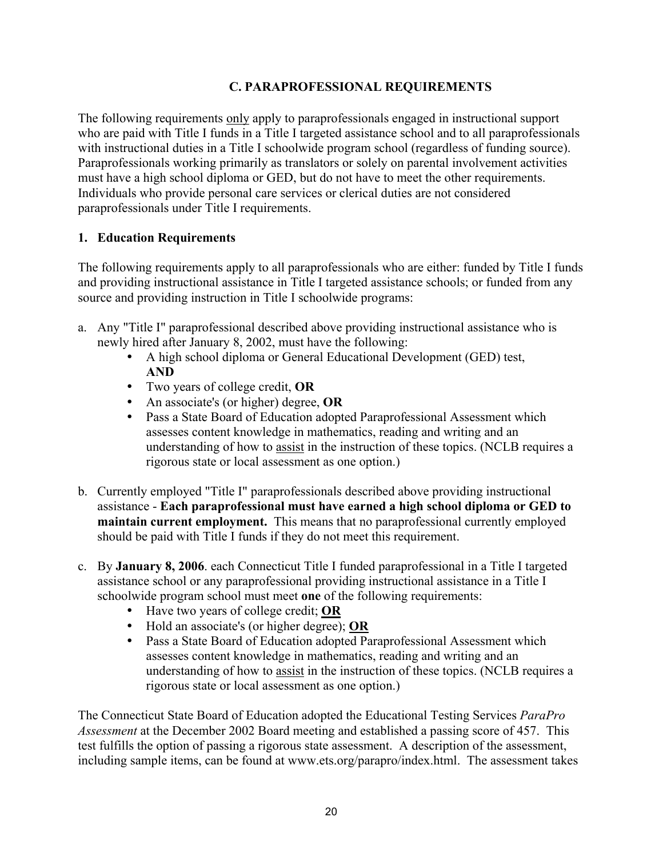### **C. PARAPROFESSIONAL REQUIREMENTS**

The following requirements only apply to paraprofessionals engaged in instructional support who are paid with Title I funds in a Title I targeted assistance school and to all paraprofessionals with instructional duties in a Title I schoolwide program school (regardless of funding source). Paraprofessionals working primarily as translators or solely on parental involvement activities must have a high school diploma or GED, but do not have to meet the other requirements. Individuals who provide personal care services or clerical duties are not considered paraprofessionals under Title I requirements.

#### **1. Education Requirements**

The following requirements apply to all paraprofessionals who are either: funded by Title I funds and providing instructional assistance in Title I targeted assistance schools; or funded from any source and providing instruction in Title I schoolwide programs:

- a. Any "Title I" paraprofessional described above providing instructional assistance who is newly hired after January 8, 2002, must have the following:
	- A high school diploma or General Educational Development (GED) test, **AND**
	- y Two years of college credit, **OR**
	- An associate's (or higher) degree, OR
	- Pass a State Board of Education adopted Paraprofessional Assessment which assesses content knowledge in mathematics, reading and writing and an understanding of how to assist in the instruction of these topics. (NCLB requires a rigorous state or local assessment as one option.)
- b. Currently employed "Title I" paraprofessionals described above providing instructional assistance - **Each paraprofessional must have earned a high school diploma or GED to maintain current employment.** This means that no paraprofessional currently employed should be paid with Title I funds if they do not meet this requirement.
- c. By **January 8, 2006**. each Connecticut Title I funded paraprofessional in a Title I targeted assistance school or any paraprofessional providing instructional assistance in a Title I schoolwide program school must meet **one** of the following requirements:
	- Have two years of college credit; **OR**
	- y Hold an associate's (or higher degree); **OR**
	- Pass a State Board of Education adopted Paraprofessional Assessment which assesses content knowledge in mathematics, reading and writing and an understanding of how to assist in the instruction of these topics. (NCLB requires a rigorous state or local assessment as one option.)

The Connecticut State Board of Education adopted the Educational Testing Services *ParaPro Assessment* at the December 2002 Board meeting and established a passing score of 457. This test fulfills the option of passing a rigorous state assessment. A description of the assessment, including sample items, can be found at www.ets.org/parapro/index.html. The assessment takes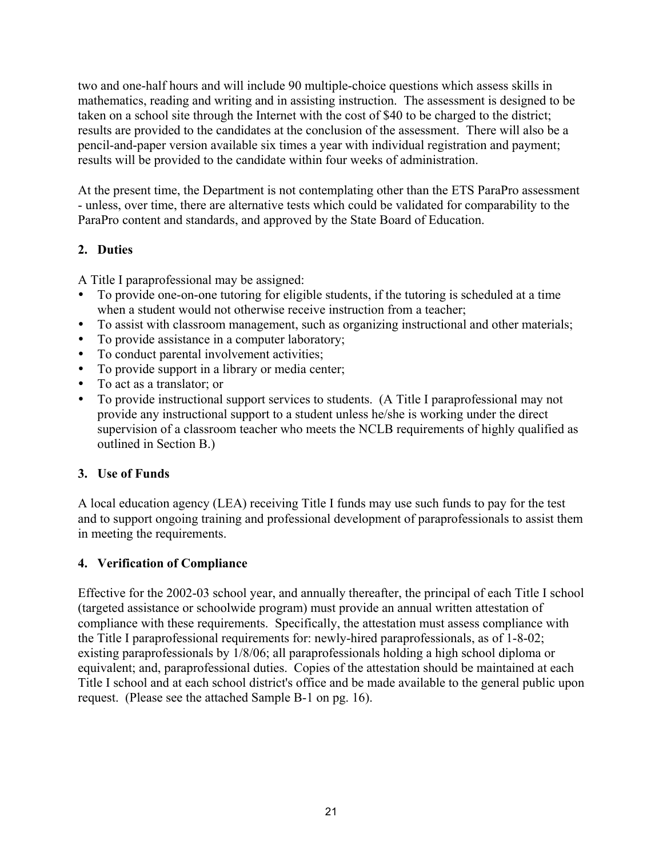two and one-half hours and will include 90 multiple-choice questions which assess skills in mathematics, reading and writing and in assisting instruction. The assessment is designed to be taken on a school site through the Internet with the cost of \$40 to be charged to the district; results are provided to the candidates at the conclusion of the assessment. There will also be a pencil-and-paper version available six times a year with individual registration and payment; results will be provided to the candidate within four weeks of administration.

At the present time, the Department is not contemplating other than the ETS ParaPro assessment - unless, over time, there are alternative tests which could be validated for comparability to the ParaPro content and standards, and approved by the State Board of Education.

# **2. Duties**

A Title I paraprofessional may be assigned:

- To provide one-on-one tutoring for eligible students, if the tutoring is scheduled at a time when a student would not otherwise receive instruction from a teacher;
- To assist with classroom management, such as organizing instructional and other materials;
- To provide assistance in a computer laboratory;
- To conduct parental involvement activities;
- To provide support in a library or media center;
- To act as a translator; or
- To provide instructional support services to students. (A Title I paraprofessional may not provide any instructional support to a student unless he/she is working under the direct supervision of a classroom teacher who meets the NCLB requirements of highly qualified as outlined in Section B.)

# **3. Use of Funds**

A local education agency (LEA) receiving Title I funds may use such funds to pay for the test and to support ongoing training and professional development of paraprofessionals to assist them in meeting the requirements.

# **4. Verification of Compliance**

Effective for the 2002-03 school year, and annually thereafter, the principal of each Title I school (targeted assistance or schoolwide program) must provide an annual written attestation of compliance with these requirements. Specifically, the attestation must assess compliance with the Title I paraprofessional requirements for: newly-hired paraprofessionals, as of 1-8-02; existing paraprofessionals by 1/8/06; all paraprofessionals holding a high school diploma or equivalent; and, paraprofessional duties. Copies of the attestation should be maintained at each Title I school and at each school district's office and be made available to the general public upon request. (Please see the attached Sample B-1 on pg. 16).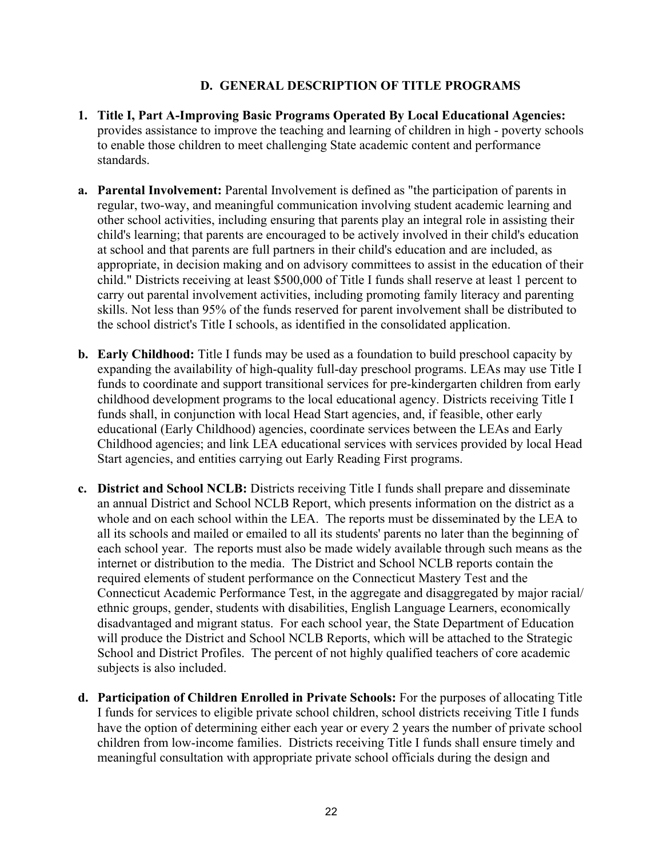#### **D. GENERAL DESCRIPTION OF TITLE PROGRAMS**

- **1. Title I, Part A-Improving Basic Programs Operated By Local Educational Agencies:**  provides assistance to improve the teaching and learning of children in high - poverty schools to enable those children to meet challenging State academic content and performance standards.
- **a. Parental Involvement:** Parental Involvement is defined as "the participation of parents in regular, two-way, and meaningful communication involving student academic learning and other school activities, including ensuring that parents play an integral role in assisting their child's learning; that parents are encouraged to be actively involved in their child's education at school and that parents are full partners in their child's education and are included, as appropriate, in decision making and on advisory committees to assist in the education of their child." Districts receiving at least \$500,000 of Title I funds shall reserve at least 1 percent to carry out parental involvement activities, including promoting family literacy and parenting skills. Not less than 95% of the funds reserved for parent involvement shall be distributed to the school district's Title I schools, as identified in the consolidated application.
- **b. Early Childhood:** Title I funds may be used as a foundation to build preschool capacity by expanding the availability of high-quality full-day preschool programs. LEAs may use Title I funds to coordinate and support transitional services for pre-kindergarten children from early childhood development programs to the local educational agency. Districts receiving Title I funds shall, in conjunction with local Head Start agencies, and, if feasible, other early educational (Early Childhood) agencies, coordinate services between the LEAs and Early Childhood agencies; and link LEA educational services with services provided by local Head Start agencies, and entities carrying out Early Reading First programs.
- **c. District and School NCLB:** Districts receiving Title I funds shall prepare and disseminate an annual District and School NCLB Report, which presents information on the district as a whole and on each school within the LEA. The reports must be disseminated by the LEA to all its schools and mailed or emailed to all its students' parents no later than the beginning of each school year. The reports must also be made widely available through such means as the internet or distribution to the media. The District and School NCLB reports contain the required elements of student performance on the Connecticut Mastery Test and the Connecticut Academic Performance Test, in the aggregate and disaggregated by major racial/ ethnic groups, gender, students with disabilities, English Language Learners, economically disadvantaged and migrant status. For each school year, the State Department of Education will produce the District and School NCLB Reports, which will be attached to the Strategic School and District Profiles. The percent of not highly qualified teachers of core academic subjects is also included.
- **d. Participation of Children Enrolled in Private Schools:** For the purposes of allocating Title I funds for services to eligible private school children, school districts receiving Title I funds have the option of determining either each year or every 2 years the number of private school children from low-income families. Districts receiving Title I funds shall ensure timely and meaningful consultation with appropriate private school officials during the design and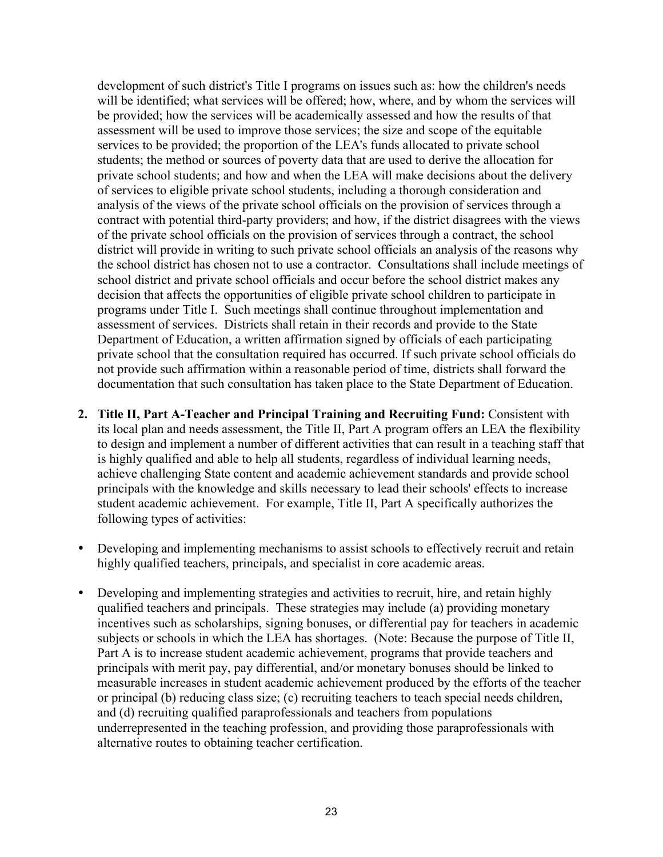development of such district's Title I programs on issues such as: how the children's needs will be identified; what services will be offered; how, where, and by whom the services will be provided; how the services will be academically assessed and how the results of that assessment will be used to improve those services; the size and scope of the equitable services to be provided; the proportion of the LEA's funds allocated to private school students; the method or sources of poverty data that are used to derive the allocation for private school students; and how and when the LEA will make decisions about the delivery of services to eligible private school students, including a thorough consideration and analysis of the views of the private school officials on the provision of services through a contract with potential third-party providers; and how, if the district disagrees with the views of the private school officials on the provision of services through a contract, the school district will provide in writing to such private school officials an analysis of the reasons why the school district has chosen not to use a contractor. Consultations shall include meetings of school district and private school officials and occur before the school district makes any decision that affects the opportunities of eligible private school children to participate in programs under Title I. Such meetings shall continue throughout implementation and assessment of services. Districts shall retain in their records and provide to the State Department of Education, a written affirmation signed by officials of each participating private school that the consultation required has occurred. If such private school officials do not provide such affirmation within a reasonable period of time, districts shall forward the documentation that such consultation has taken place to the State Department of Education.

- **2. Title II, Part A-Teacher and Principal Training and Recruiting Fund:** Consistent with its local plan and needs assessment, the Title II, Part A program offers an LEA the flexibility to design and implement a number of different activities that can result in a teaching staff that is highly qualified and able to help all students, regardless of individual learning needs, achieve challenging State content and academic achievement standards and provide school principals with the knowledge and skills necessary to lead their schools' effects to increase student academic achievement. For example, Title II, Part A specifically authorizes the following types of activities:
- Developing and implementing mechanisms to assist schools to effectively recruit and retain highly qualified teachers, principals, and specialist in core academic areas.
- Developing and implementing strategies and activities to recruit, hire, and retain highly qualified teachers and principals. These strategies may include (a) providing monetary incentives such as scholarships, signing bonuses, or differential pay for teachers in academic subjects or schools in which the LEA has shortages. (Note: Because the purpose of Title II, Part A is to increase student academic achievement, programs that provide teachers and principals with merit pay, pay differential, and/or monetary bonuses should be linked to measurable increases in student academic achievement produced by the efforts of the teacher or principal (b) reducing class size; (c) recruiting teachers to teach special needs children, and (d) recruiting qualified paraprofessionals and teachers from populations underrepresented in the teaching profession, and providing those paraprofessionals with alternative routes to obtaining teacher certification.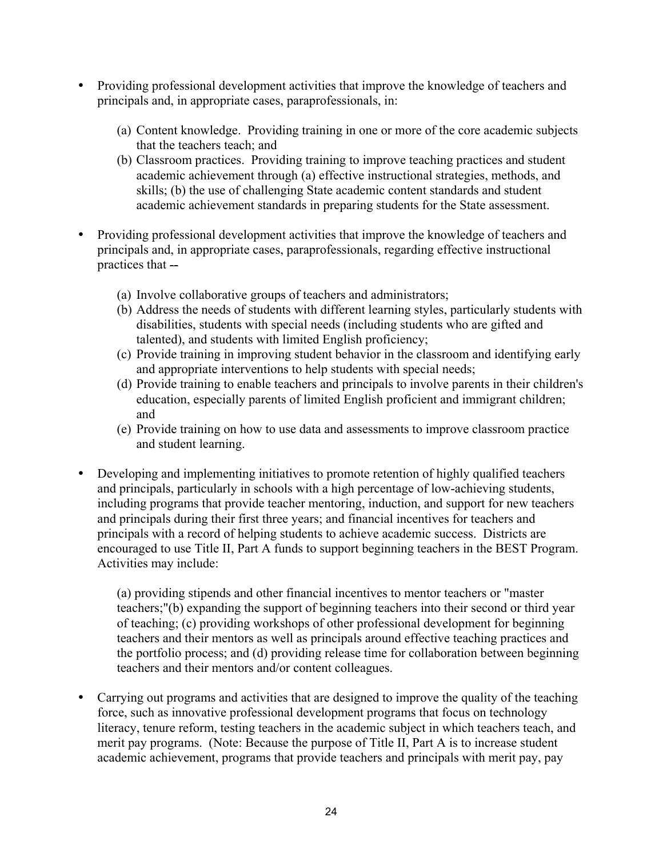- Providing professional development activities that improve the knowledge of teachers and principals and, in appropriate cases, paraprofessionals, in:
	- (a) Content knowledge. Providing training in one or more of the core academic subjects that the teachers teach; and
	- (b) Classroom practices. Providing training to improve teaching practices and student academic achievement through (a) effective instructional strategies, methods, and skills; (b) the use of challenging State academic content standards and student academic achievement standards in preparing students for the State assessment.
- Providing professional development activities that improve the knowledge of teachers and principals and, in appropriate cases, paraprofessionals, regarding effective instructional practices that  $-$ 
	- (a) Involve collaborative groups of teachers and administrators;
	- (b) Address the needs of students with different learning styles, particularly students with disabilities, students with special needs (including students who are gifted and talented), and students with limited English proficiency;
	- (c) Provide training in improving student behavior in the classroom and identifying early and appropriate interventions to help students with special needs;
	- (d) Provide training to enable teachers and principals to involve parents in their children's education, especially parents of limited English proficient and immigrant children; and
	- (e) Provide training on how to use data and assessments to improve classroom practice and student learning.
- Developing and implementing initiatives to promote retention of highly qualified teachers and principals, particularly in schools with a high percentage of low-achieving students, including programs that provide teacher mentoring, induction, and support for new teachers and principals during their first three years; and financial incentives for teachers and principals with a record of helping students to achieve academic success. Districts are encouraged to use Title II, Part A funds to support beginning teachers in the BEST Program. Activities may include:

(a) providing stipends and other financial incentives to mentor teachers or "master teachers;"(b) expanding the support of beginning teachers into their second or third year of teaching; (c) providing workshops of other professional development for beginning teachers and their mentors as well as principals around effective teaching practices and the portfolio process; and (d) providing release time for collaboration between beginning teachers and their mentors and/or content colleagues.

• Carrying out programs and activities that are designed to improve the quality of the teaching force, such as innovative professional development programs that focus on technology literacy, tenure reform, testing teachers in the academic subject in which teachers teach, and merit pay programs. (Note: Because the purpose of Title II, Part A is to increase student academic achievement, programs that provide teachers and principals with merit pay, pay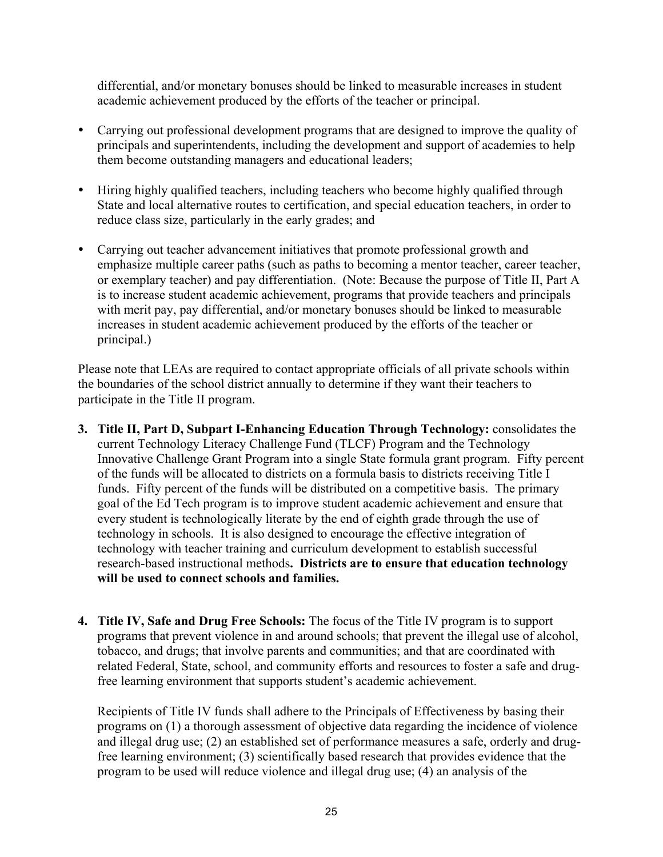differential, and/or monetary bonuses should be linked to measurable increases in student academic achievement produced by the efforts of the teacher or principal.

- Carrying out professional development programs that are designed to improve the quality of principals and superintendents, including the development and support of academies to help them become outstanding managers and educational leaders;
- Hiring highly qualified teachers, including teachers who become highly qualified through State and local alternative routes to certification, and special education teachers, in order to reduce class size, particularly in the early grades; and
- Carrying out teacher advancement initiatives that promote professional growth and emphasize multiple career paths (such as paths to becoming a mentor teacher, career teacher, or exemplary teacher) and pay differentiation. (Note: Because the purpose of Title II, Part A is to increase student academic achievement, programs that provide teachers and principals with merit pay, pay differential, and/or monetary bonuses should be linked to measurable increases in student academic achievement produced by the efforts of the teacher or principal.)

Please note that LEAs are required to contact appropriate officials of all private schools within the boundaries of the school district annually to determine if they want their teachers to participate in the Title II program.

- **3. Title II, Part D, Subpart I-Enhancing Education Through Technology:** consolidates the current Technology Literacy Challenge Fund (TLCF) Program and the Technology Innovative Challenge Grant Program into a single State formula grant program. Fifty percent of the funds will be allocated to districts on a formula basis to districts receiving Title I funds. Fifty percent of the funds will be distributed on a competitive basis. The primary goal of the Ed Tech program is to improve student academic achievement and ensure that every student is technologically literate by the end of eighth grade through the use of technology in schools. It is also designed to encourage the effective integration of technology with teacher training and curriculum development to establish successful research-based instructional methods**. Districts are to ensure that education technology will be used to connect schools and families.**
- **4. Title IV, Safe and Drug Free Schools:** The focus of the Title IV program is to support programs that prevent violence in and around schools; that prevent the illegal use of alcohol, tobacco, and drugs; that involve parents and communities; and that are coordinated with related Federal, State, school, and community efforts and resources to foster a safe and drugfree learning environment that supports student's academic achievement.

Recipients of Title IV funds shall adhere to the Principals of Effectiveness by basing their programs on (1) a thorough assessment of objective data regarding the incidence of violence and illegal drug use; (2) an established set of performance measures a safe, orderly and drugfree learning environment; (3) scientifically based research that provides evidence that the program to be used will reduce violence and illegal drug use; (4) an analysis of the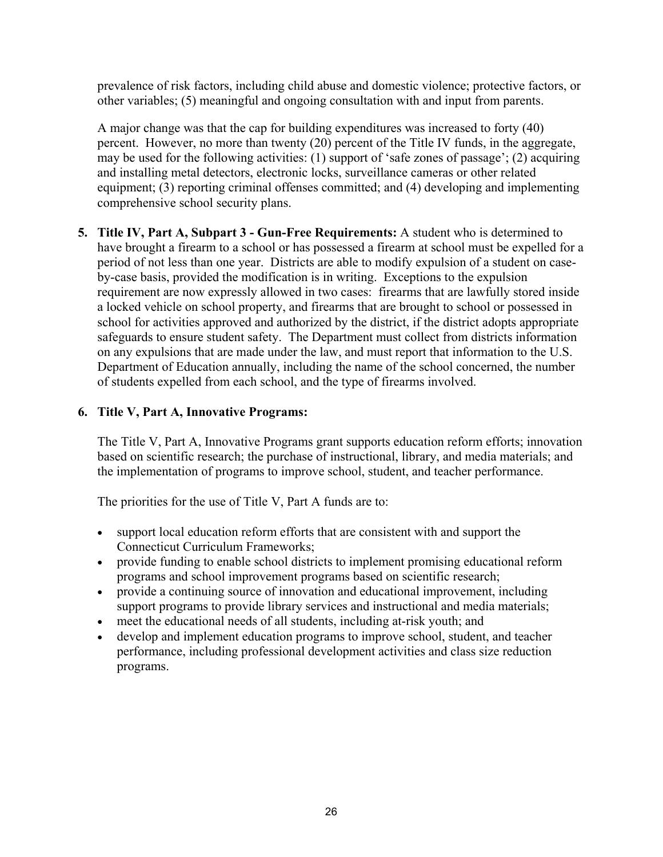prevalence of risk factors, including child abuse and domestic violence; protective factors, or other variables; (5) meaningful and ongoing consultation with and input from parents.

A major change was that the cap for building expenditures was increased to forty (40) percent. However, no more than twenty (20) percent of the Title IV funds, in the aggregate, may be used for the following activities: (1) support of 'safe zones of passage'; (2) acquiring and installing metal detectors, electronic locks, surveillance cameras or other related equipment; (3) reporting criminal offenses committed; and (4) developing and implementing comprehensive school security plans.

**5. Title IV, Part A, Subpart 3 - Gun-Free Requirements:** A student who is determined to have brought a firearm to a school or has possessed a firearm at school must be expelled for a period of not less than one year. Districts are able to modify expulsion of a student on caseby-case basis, provided the modification is in writing. Exceptions to the expulsion requirement are now expressly allowed in two cases: firearms that are lawfully stored inside a locked vehicle on school property, and firearms that are brought to school or possessed in school for activities approved and authorized by the district, if the district adopts appropriate safeguards to ensure student safety. The Department must collect from districts information on any expulsions that are made under the law, and must report that information to the U.S. Department of Education annually, including the name of the school concerned, the number of students expelled from each school, and the type of firearms involved.

### **6. Title V, Part A, Innovative Programs:**

The Title V, Part A, Innovative Programs grant supports education reform efforts; innovation based on scientific research; the purchase of instructional, library, and media materials; and the implementation of programs to improve school, student, and teacher performance.

The priorities for the use of Title V, Part A funds are to:

- support local education reform efforts that are consistent with and support the Connecticut Curriculum Frameworks;
- provide funding to enable school districts to implement promising educational reform programs and school improvement programs based on scientific research;
- provide a continuing source of innovation and educational improvement, including support programs to provide library services and instructional and media materials;
- meet the educational needs of all students, including at-risk youth; and
- develop and implement education programs to improve school, student, and teacher performance, including professional development activities and class size reduction programs.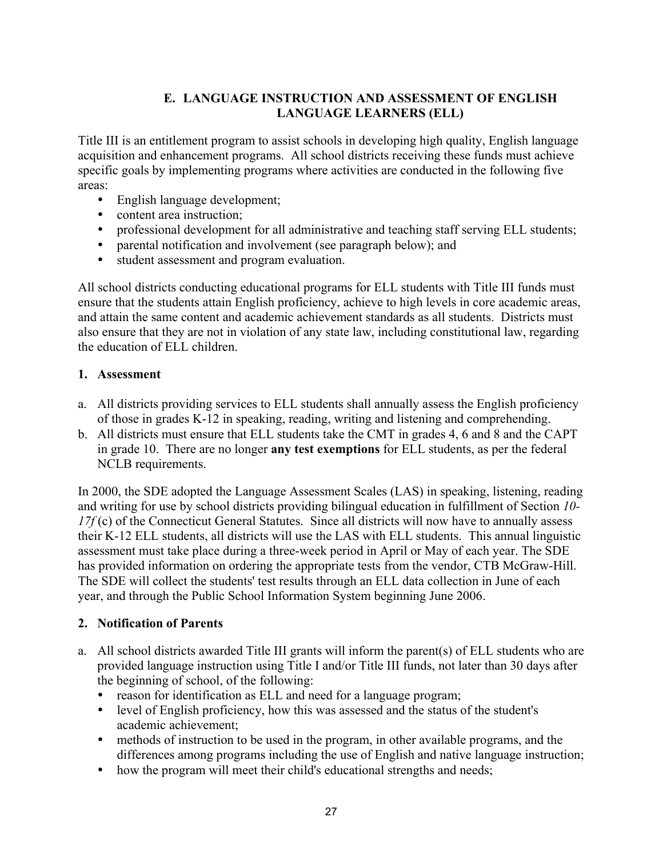### **E. LANGUAGE INSTRUCTION AND ASSESSMENT OF ENGLISH LANGUAGE LEARNERS (ELL)**

Title III is an entitlement program to assist schools in developing high quality, English language acquisition and enhancement programs. All school districts receiving these funds must achieve specific goals by implementing programs where activities are conducted in the following five areas:

- $\bullet$  English language development;
- content area instruction;
- professional development for all administrative and teaching staff serving ELL students;
- parental notification and involvement (see paragraph below); and
- y student assessment and program evaluation.

All school districts conducting educational programs for ELL students with Title III funds must ensure that the students attain English proficiency, achieve to high levels in core academic areas, and attain the same content and academic achievement standards as all students. Districts must also ensure that they are not in violation of any state law, including constitutional law, regarding the education of ELL children.

### **1. Assessment**

- a. All districts providing services to ELL students shall annually assess the English proficiency of those in grades K-12 in speaking, reading, writing and listening and comprehending.
- b. All districts must ensure that ELL students take the CMT in grades 4, 6 and 8 and the CAPT in grade 10. There are no longer **any test exemptions** for ELL students, as per the federal NCLB requirements.

In 2000, the SDE adopted the Language Assessment Scales (LAS) in speaking, listening, reading and writing for use by school districts providing bilingual education in fulfillment of Section *10- 17f* (c) of the Connecticut General Statutes. Since all districts will now have to annually assess their K-12 ELL students, all districts will use the LAS with ELL students. This annual linguistic assessment must take place during a three-week period in April or May of each year. The SDE has provided information on ordering the appropriate tests from the vendor, CTB McGraw-Hill. The SDE will collect the students' test results through an ELL data collection in June of each year, and through the Public School Information System beginning June 2006.

### **2. Notification of Parents**

- a. All school districts awarded Title III grants will inform the parent(s) of ELL students who are provided language instruction using Title I and/or Title III funds, not later than 30 days after the beginning of school, of the following:
	- reason for identification as ELL and need for a language program;
	- level of English proficiency, how this was assessed and the status of the student's academic achievement;
	- methods of instruction to be used in the program, in other available programs, and the differences among programs including the use of English and native language instruction;
	- how the program will meet their child's educational strengths and needs;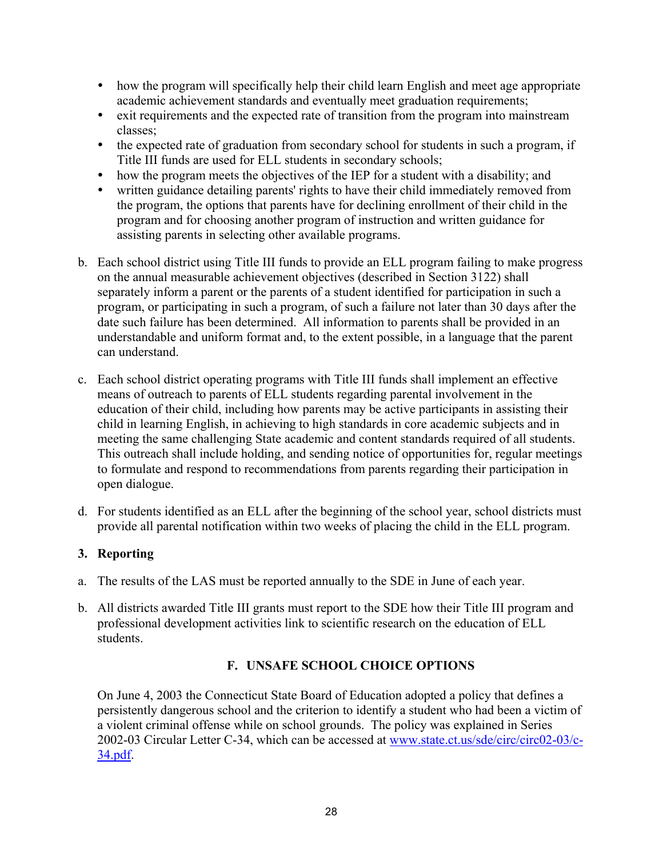- how the program will specifically help their child learn English and meet age appropriate academic achievement standards and eventually meet graduation requirements;
- exit requirements and the expected rate of transition from the program into mainstream classes;
- the expected rate of graduation from secondary school for students in such a program, if Title III funds are used for ELL students in secondary schools;
- how the program meets the objectives of the IEP for a student with a disability; and
- written guidance detailing parents' rights to have their child immediately removed from the program, the options that parents have for declining enrollment of their child in the program and for choosing another program of instruction and written guidance for assisting parents in selecting other available programs.
- b. Each school district using Title III funds to provide an ELL program failing to make progress on the annual measurable achievement objectives (described in Section 3122) shall separately inform a parent or the parents of a student identified for participation in such a program, or participating in such a program, of such a failure not later than 30 days after the date such failure has been determined. All information to parents shall be provided in an understandable and uniform format and, to the extent possible, in a language that the parent can understand.
- c. Each school district operating programs with Title III funds shall implement an effective means of outreach to parents of ELL students regarding parental involvement in the education of their child, including how parents may be active participants in assisting their child in learning English, in achieving to high standards in core academic subjects and in meeting the same challenging State academic and content standards required of all students. This outreach shall include holding, and sending notice of opportunities for, regular meetings to formulate and respond to recommendations from parents regarding their participation in open dialogue.
- d. For students identified as an ELL after the beginning of the school year, school districts must provide all parental notification within two weeks of placing the child in the ELL program.

# **3. Reporting**

- a. The results of the LAS must be reported annually to the SDE in June of each year.
- b. All districts awarded Title III grants must report to the SDE how their Title III program and professional development activities link to scientific research on the education of ELL students.

### **F. UNSAFE SCHOOL CHOICE OPTIONS**

On June 4, 2003 the Connecticut State Board of Education adopted a policy that defines a persistently dangerous school and the criterion to identify a student who had been a victim of a violent criminal offense while on school grounds. The policy was explained in Series 2002-03 Circular Letter C-34, which can be accessed at www.state.ct.us/sde/circ/circ02-03/c-34.pdf.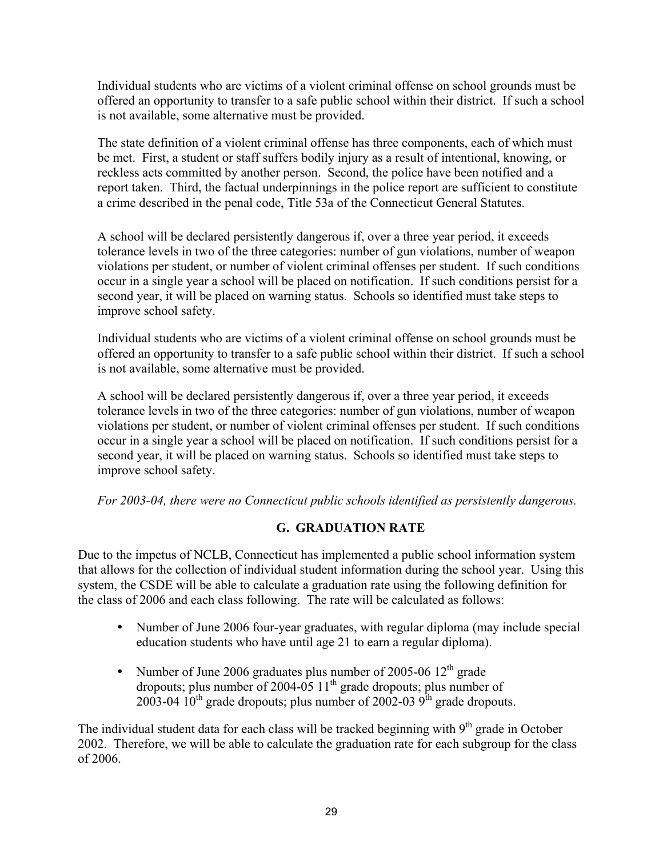Individual students who are victims of a violent criminal offense on school grounds must be offered an opportunity to transfer to a safe public school within their district. If such a school is not available, some alternative must be provided.

The state definition of a violent criminal offense has three components, each of which must be met. First, a student or staff suffers bodily injury as a result of intentional, knowing, or reckless acts committed by another person. Second, the police have been notified and a report taken. Third, the factual underpinnings in the police report are sufficient to constitute a crime described in the penal code, Title 53a of the Connecticut General Statutes.

A school will be declared persistently dangerous if, over a three year period, it exceeds tolerance levels in two of the three categories: number of gun violations, number of weapon violations per student, or number of violent criminal offenses per student. If such conditions occur in a single year a school will be placed on notification. If such conditions persist for a second year, it will be placed on warning status. Schools so identified must take steps to improve school safety.

Individual students who are victims of a violent criminal offense on school grounds must be offered an opportunity to transfer to a safe public school within their district. If such a school is not available, some alternative must be provided.

A school will be declared persistently dangerous if, over a three year period, it exceeds tolerance levels in two of the three categories: number of gun violations, number of weapon violations per student, or number of violent criminal offenses per student. If such conditions occur in a single year a school will be placed on notification. If such conditions persist for a second year, it will be placed on warning status. Schools so identified must take steps to improve school safety.

*For 2003-04, there were no Connecticut public schools identified as persistently dangerous.* 

# **G. GRADUATION RATE**

Due to the impetus of NCLB, Connecticut has implemented a public school information system that allows for the collection of individual student information during the school year. Using this system, the CSDE will be able to calculate a graduation rate using the following definition for the class of 2006 and each class following. The rate will be calculated as follows:

- Number of June 2006 four-year graduates, with regular diploma (may include special education students who have until age 21 to earn a regular diploma).
- Number of June 2006 graduates plus number of 2005-06  $12<sup>th</sup>$  grade dropouts; plus number of 2004-05  $11<sup>th</sup>$  grade dropouts; plus number of 2003-04  $10^{th}$  grade dropouts; plus number of 2002-03  $9^{th}$  grade dropouts.

The individual student data for each class will be tracked beginning with  $9<sup>th</sup>$  grade in October 2002. Therefore, we will be able to calculate the graduation rate for each subgroup for the class of 2006.